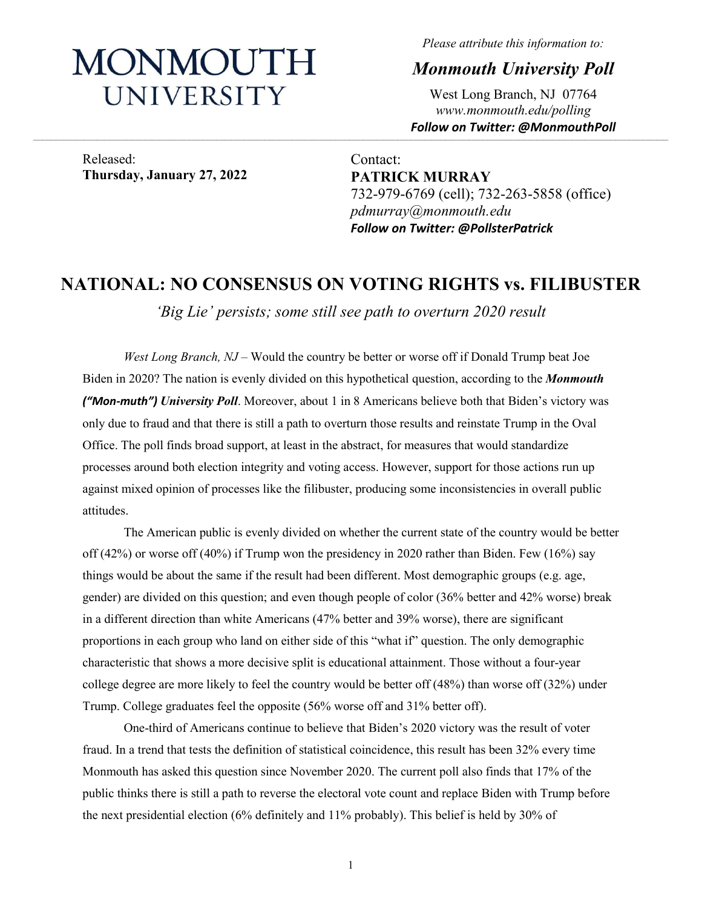# MONMOUTH UNIVERSITY

*Please attribute this information to:*

*Monmouth University Poll*

West Long Branch, NJ 07764 *www.monmouth.edu/polling Follow on Twitter: @MonmouthPoll*

Released: **Thursday, January 27, 2022**

Contact: **PATRICK MURRAY** 732-979-6769 (cell); 732-263-5858 (office) *pdmurray@monmouth.edu Follow on Twitter: @PollsterPatrick*

## **NATIONAL: NO CONSENSUS ON VOTING RIGHTS vs. FILIBUSTER**

*'Big Lie' persists; some still see path to overturn 2020 result*

*West Long Branch, NJ* – Would the country be better or worse off if Donald Trump beat Joe Biden in 2020? The nation is evenly divided on this hypothetical question, according to the *Monmouth ("Mon-muth") University Poll*. Moreover, about 1 in 8 Americans believe both that Biden's victory was only due to fraud and that there is still a path to overturn those results and reinstate Trump in the Oval Office. The poll finds broad support, at least in the abstract, for measures that would standardize processes around both election integrity and voting access. However, support for those actions run up against mixed opinion of processes like the filibuster, producing some inconsistencies in overall public attitudes.

The American public is evenly divided on whether the current state of the country would be better off (42%) or worse off (40%) if Trump won the presidency in 2020 rather than Biden. Few (16%) say things would be about the same if the result had been different. Most demographic groups (e.g. age, gender) are divided on this question; and even though people of color (36% better and 42% worse) break in a different direction than white Americans (47% better and 39% worse), there are significant proportions in each group who land on either side of this "what if" question. The only demographic characteristic that shows a more decisive split is educational attainment. Those without a four-year college degree are more likely to feel the country would be better off (48%) than worse off (32%) under Trump. College graduates feel the opposite (56% worse off and 31% better off).

One-third of Americans continue to believe that Biden's 2020 victory was the result of voter fraud. In a trend that tests the definition of statistical coincidence, this result has been 32% every time Monmouth has asked this question since November 2020. The current poll also finds that 17% of the public thinks there is still a path to reverse the electoral vote count and replace Biden with Trump before the next presidential election (6% definitely and 11% probably). This belief is held by 30% of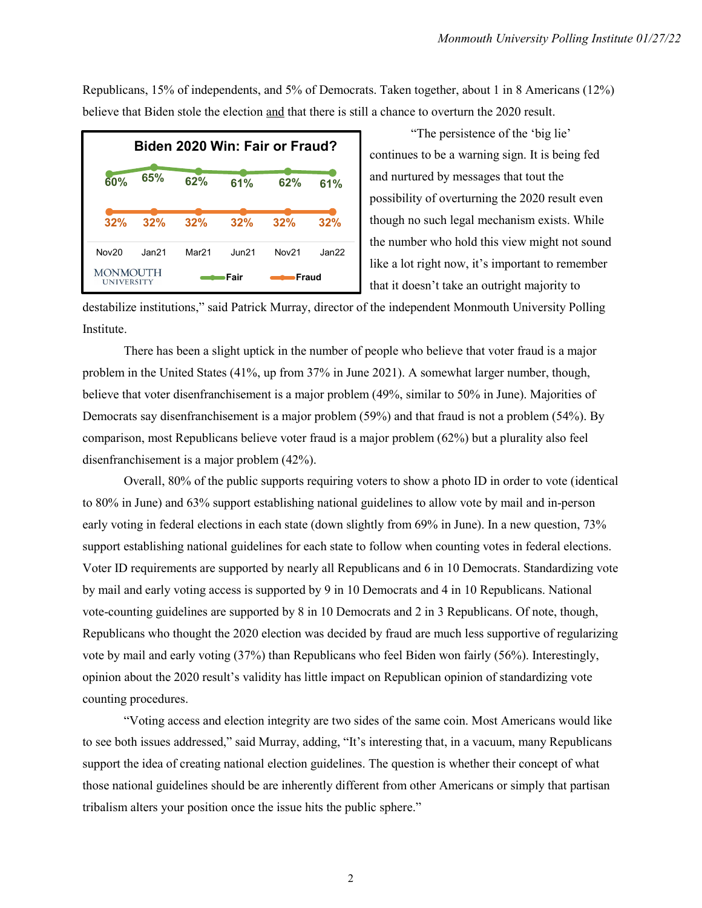Republicans, 15% of independents, and 5% of Democrats. Taken together, about 1 in 8 Americans (12%) believe that Biden stole the election and that there is still a chance to overturn the 2020 result.

| Biden 2020 Win: Fair or Fraud? |                   |                   |             |                   |       |
|--------------------------------|-------------------|-------------------|-------------|-------------------|-------|
| 60%                            | 65%               | 62%               | 61%         | 62%               | 61%   |
| 32%                            | 32%               | 32%               | 32%         | 32%               | 32%   |
| Nov20                          | Jan <sub>21</sub> | Mar <sub>21</sub> | $JU$ n $21$ | Nov <sub>21</sub> | Jan22 |
| MONMOUTH<br><b>UNIVERSITY</b>  |                   |                   | Fair        | Fraud             |       |

"The persistence of the 'big lie' continues to be a warning sign. It is being fed and nurtured by messages that tout the possibility of overturning the 2020 result even though no such legal mechanism exists. While the number who hold this view might not sound like a lot right now, it's important to remember that it doesn't take an outright majority to

destabilize institutions," said Patrick Murray, director of the independent Monmouth University Polling Institute.

There has been a slight uptick in the number of people who believe that voter fraud is a major problem in the United States (41%, up from 37% in June 2021). A somewhat larger number, though, believe that voter disenfranchisement is a major problem (49%, similar to 50% in June). Majorities of Democrats say disenfranchisement is a major problem (59%) and that fraud is not a problem (54%). By comparison, most Republicans believe voter fraud is a major problem (62%) but a plurality also feel disenfranchisement is a major problem (42%).

Overall, 80% of the public supports requiring voters to show a photo ID in order to vote (identical to 80% in June) and 63% support establishing national guidelines to allow vote by mail and in-person early voting in federal elections in each state (down slightly from 69% in June). In a new question, 73% support establishing national guidelines for each state to follow when counting votes in federal elections. Voter ID requirements are supported by nearly all Republicans and 6 in 10 Democrats. Standardizing vote by mail and early voting access is supported by 9 in 10 Democrats and 4 in 10 Republicans. National vote-counting guidelines are supported by 8 in 10 Democrats and 2 in 3 Republicans. Of note, though, Republicans who thought the 2020 election was decided by fraud are much less supportive of regularizing vote by mail and early voting (37%) than Republicans who feel Biden won fairly (56%). Interestingly, opinion about the 2020 result's validity has little impact on Republican opinion of standardizing vote counting procedures.

"Voting access and election integrity are two sides of the same coin. Most Americans would like to see both issues addressed," said Murray, adding, "It's interesting that, in a vacuum, many Republicans support the idea of creating national election guidelines. The question is whether their concept of what those national guidelines should be are inherently different from other Americans or simply that partisan tribalism alters your position once the issue hits the public sphere."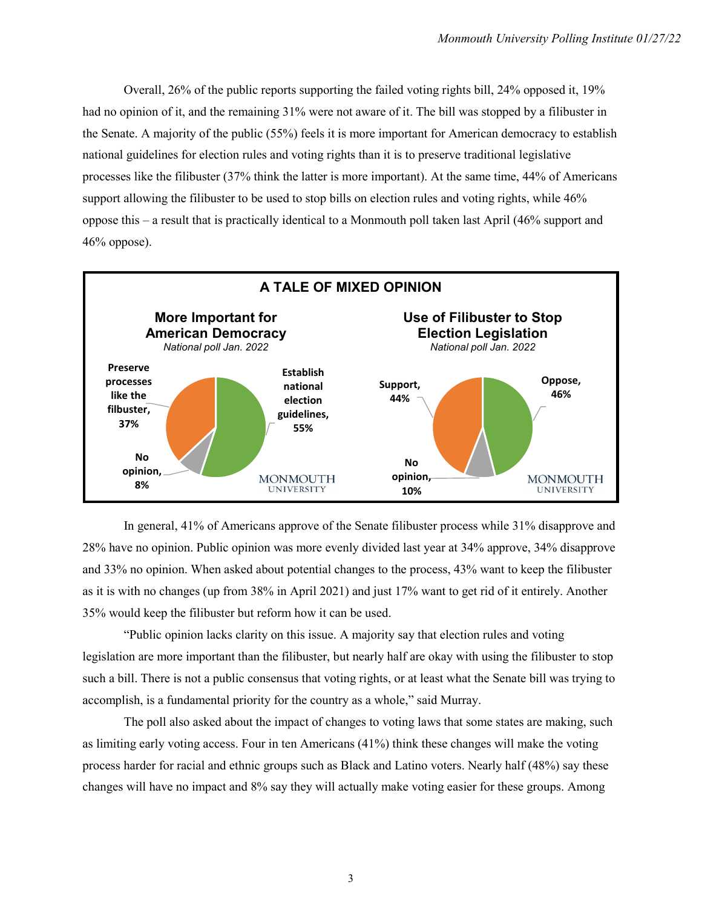Overall, 26% of the public reports supporting the failed voting rights bill, 24% opposed it, 19% had no opinion of it, and the remaining 31% were not aware of it. The bill was stopped by a filibuster in the Senate. A majority of the public (55%) feels it is more important for American democracy to establish national guidelines for election rules and voting rights than it is to preserve traditional legislative processes like the filibuster (37% think the latter is more important). At the same time, 44% of Americans support allowing the filibuster to be used to stop bills on election rules and voting rights, while 46% oppose this – a result that is practically identical to a Monmouth poll taken last April (46% support and  $46%$  oppose).



In general, 41% of Americans approve of the Senate filibuster process while 31% disapprove and 28% have no opinion. Public opinion was more evenly divided last year at 34% approve, 34% disapprove and 33% no opinion. When asked about potential changes to the process, 43% want to keep the filibuster as it is with no changes (up from 38% in April 2021) and just 17% want to get rid of it entirely. Another 35% would keep the filibuster but reform how it can be used.

"Public opinion lacks clarity on this issue. A majority say that election rules and voting legislation are more important than the filibuster, but nearly half are okay with using the filibuster to stop such a bill. There is not a public consensus that voting rights, or at least what the Senate bill was trying to accomplish, is a fundamental priority for the country as a whole," said Murray.

The poll also asked about the impact of changes to voting laws that some states are making, such as limiting early voting access. Four in ten Americans (41%) think these changes will make the voting process harder for racial and ethnic groups such as Black and Latino voters. Nearly half (48%) say these changes will have no impact and 8% say they will actually make voting easier for these groups. Among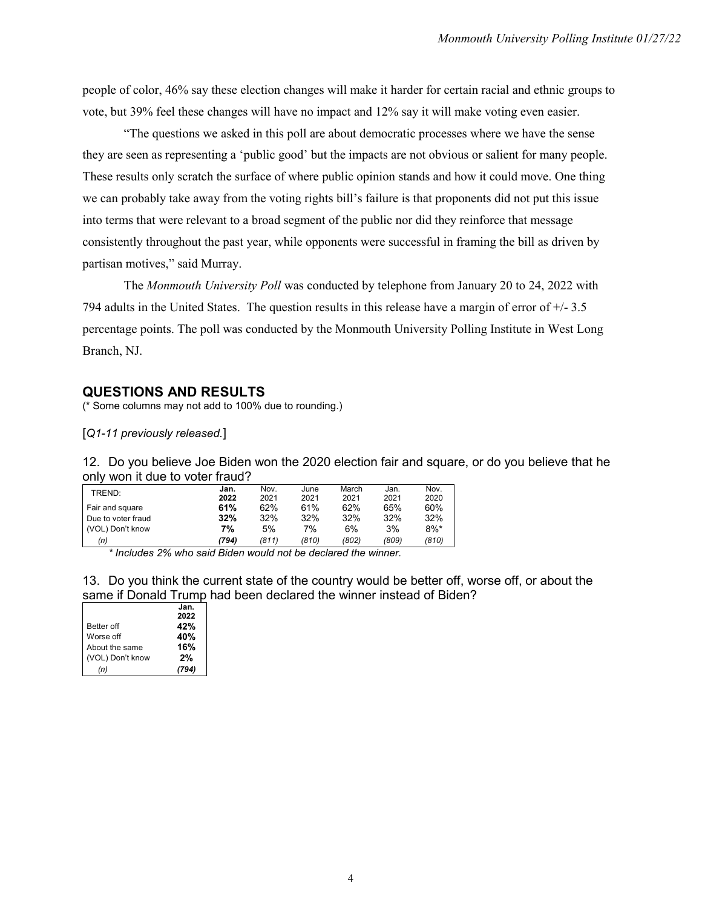people of color, 46% say these election changes will make it harder for certain racial and ethnic groups to vote, but 39% feel these changes will have no impact and 12% say it will make voting even easier.

"The questions we asked in this poll are about democratic processes where we have the sense they are seen as representing a 'public good' but the impacts are not obvious or salient for many people. These results only scratch the surface of where public opinion stands and how it could move. One thing we can probably take away from the voting rights bill's failure is that proponents did not put this issue into terms that were relevant to a broad segment of the public nor did they reinforce that message consistently throughout the past year, while opponents were successful in framing the bill as driven by partisan motives," said Murray.

The *Monmouth University Poll* was conducted by telephone from January 20 to 24, 2022 with 794 adults in the United States. The question results in this release have a margin of error of +/- 3.5 percentage points. The poll was conducted by the Monmouth University Polling Institute in West Long Branch, NJ.

#### **QUESTIONS AND RESULTS**

(\* Some columns may not add to 100% due to rounding.)

[*Q1-11 previously released.*]

12. Do you believe Joe Biden won the 2020 election fair and square, or do you believe that he only won it due to voter fraud?

| TREND:             | Jan.  | Nov.  | June  | March | Jan.  | Nov.    |
|--------------------|-------|-------|-------|-------|-------|---------|
|                    | 2022  | 2021  | 2021  | 2021  | 2021  | 2020    |
| Fair and square    | 61%   | 62%   | 61%   | 62%   | 65%   | 60%     |
| Due to voter fraud | 32%   | 32%   | 32%   | 32%   | 32%   | 32%     |
| (VOL) Don't know   | 7%    | 5%    | 7%    | 6%    | 3%    | $8\%$ * |
| (n)                | (794) | (811) | (810) | (802) | (809) | (810)   |

*\* Includes 2% who said Biden would not be declared the winner.*

13. Do you think the current state of the country would be better off, worse off, or about the same if Donald Trump had been declared the winner instead of Biden?

|                   | Jan.  |
|-------------------|-------|
|                   | 2022  |
| <b>Better off</b> | 42%   |
| Worse off         | 40%   |
| About the same    | 16%   |
| (VOL) Don't know  | 2%    |
| (n)               | (794) |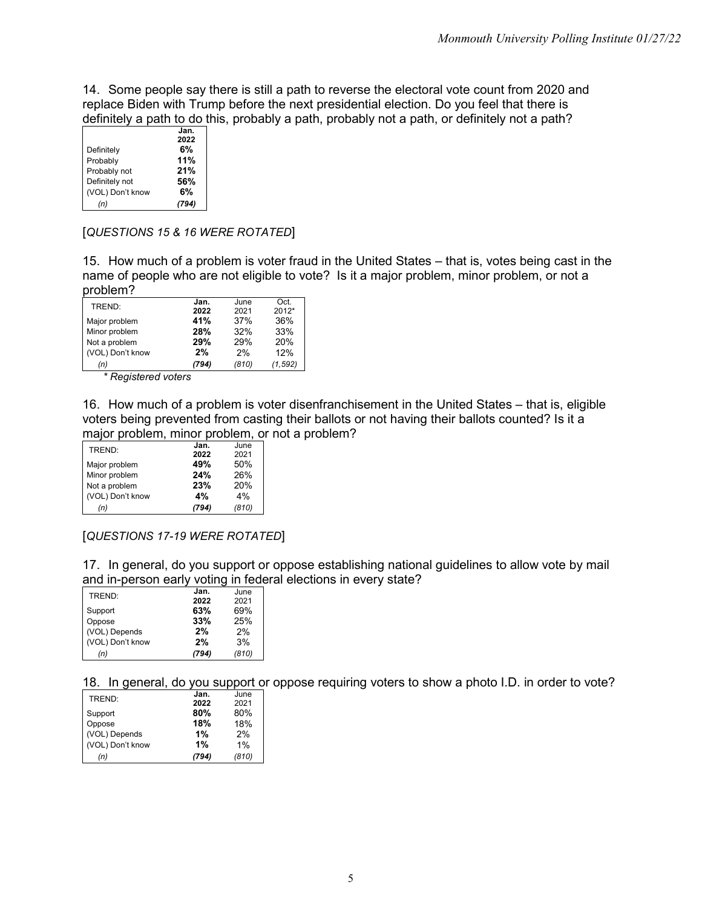14. Some people say there is still a path to reverse the electoral vote count from 2020 and replace Biden with Trump before the next presidential election. Do you feel that there is definitely a path to do this, probably a path, probably not a path, or definitely not a path?

|                  | Jan. |
|------------------|------|
|                  | 2022 |
| Definitely       | 6%   |
| Probably         | 11%  |
| Probably not     | 21%  |
| Definitely not   | 56%  |
| (VOL) Don't know | 6%   |
| (n)              |      |

#### [*QUESTIONS 15 & 16 WERE ROTATED*]

15. How much of a problem is voter fraud in the United States – that is, votes being cast in the name of people who are not eligible to vote? Is it a major problem, minor problem, or not a problem?

| TREND:           | Jan.  | June  | Oct.     |
|------------------|-------|-------|----------|
|                  | 2022  | 2021  | $2012*$  |
| Major problem    | 41%   | 37%   | 36%      |
| Minor problem    | 28%   | 32%   | 33%      |
| Not a problem    | 29%   | 29%   | 20%      |
| (VOL) Don't know | 2%    | 2%    | 12%      |
| (n)              | (794) | (810) | (1, 592) |

*\* Registered voters* 

16. How much of a problem is voter disenfranchisement in the United States – that is, eligible voters being prevented from casting their ballots or not having their ballots counted? Is it a major problem, minor problem, or not a problem?

|                  | Jan.  | June  |
|------------------|-------|-------|
| TREND:           | 2022  | 2021  |
| Major problem    | 49%   | 50%   |
| Minor problem    | 24%   | 26%   |
| Not a problem    | 23%   | 20%   |
| (VOL) Don't know | 4%    | 4%    |
| (n)              | (794) | (810) |

[*QUESTIONS 17-19 WERE ROTATED*]

17. In general, do you support or oppose establishing national guidelines to allow vote by mail and in-person early voting in federal elections in every state?

| TREND:           | Jan.  | June  |
|------------------|-------|-------|
|                  | 2022  | 2021  |
| Support          | 63%   | 69%   |
| Oppose           | 33%   | 25%   |
| (VOL) Depends    | 2%    | 2%    |
| (VOL) Don't know | 2%    | 3%    |
| (n)              | (794) | (810) |

18. In general, do you support or oppose requiring voters to show a photo I.D. in order to vote?

| TREND:           | Jan.  | June  |
|------------------|-------|-------|
|                  | 2022  | 2021  |
| Support          | 80%   | 80%   |
| Oppose           | 18%   | 18%   |
| (VOL) Depends    | 1%    | 2%    |
| (VOL) Don't know | 1%    | 1%    |
| (n)              | (794) | (810) |
|                  |       |       |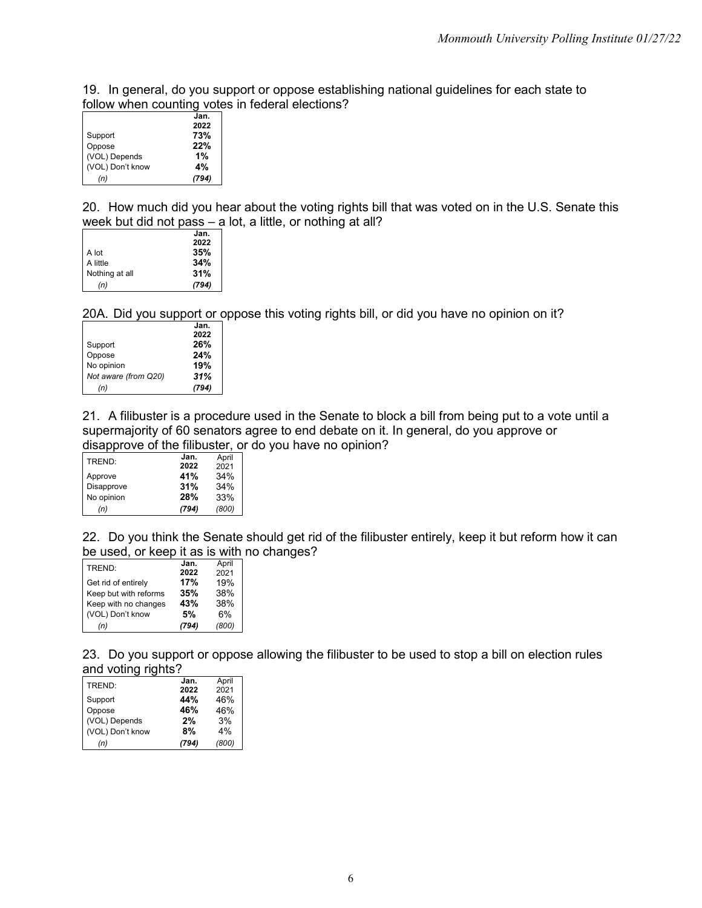19. In general, do you support or oppose establishing national guidelines for each state to follow when counting votes in federal elections?

|                  | Jan.  |
|------------------|-------|
|                  | 2022  |
| Support          | 73%   |
| Oppose           | 22%   |
| (VOL) Depends    | 1%    |
| (VOL) Don't know | 4%    |
| (n)              | (794) |

20. How much did you hear about the voting rights bill that was voted on in the U.S. Senate this week but did not pass – a lot, a little, or nothing at all?

|                | Jan.  |
|----------------|-------|
|                | 2022  |
| A lot          | 35%   |
| A little       | 34%   |
| Nothing at all | 31%   |
| (n)            | (794) |

20A. Did you support or oppose this voting rights bill, or did you have no opinion on it?

|                      | Jan.  |
|----------------------|-------|
|                      | 2022  |
| Support              | 26%   |
| Oppose               | 24%   |
| No opinion           | 19%   |
| Not aware (from Q20) | 31%   |
| (n)                  | (794) |

21. A filibuster is a procedure used in the Senate to block a bill from being put to a vote until a supermajority of 60 senators agree to end debate on it. In general, do you approve or disapprove of the filibuster, or do you have no opinion?

| TREND:     | Jan.  | April |
|------------|-------|-------|
|            | 2022  | 2021  |
| Approve    | 41%   | 34%   |
| Disapprove | 31%   | 34%   |
| No opinion | 28%   | 33%   |
| (n)        | (794) | (800) |

22. Do you think the Senate should get rid of the filibuster entirely, keep it but reform how it can be used, or keep it as is with no changes?

| TREND:                | Jan.  | April |
|-----------------------|-------|-------|
|                       | 2022  | 2021  |
| Get rid of entirely   | 17%   | 19%   |
| Keep but with reforms | 35%   | 38%   |
| Keep with no changes  | 43%   | 38%   |
| (VOL) Don't know      | 5%    | 6%    |
| (n)                   | (794) | (800) |

23. Do you support or oppose allowing the filibuster to be used to stop a bill on election rules and voting rights?

| TREND:           | Jan.  | April |
|------------------|-------|-------|
|                  | 2022  | 2021  |
| Support          | 44%   | 46%   |
| Oppose           | 46%   | 46%   |
| (VOL) Depends    | 2%    | 3%    |
| (VOL) Don't know | 8%    | 4%    |
| (n)              | (794) | (800) |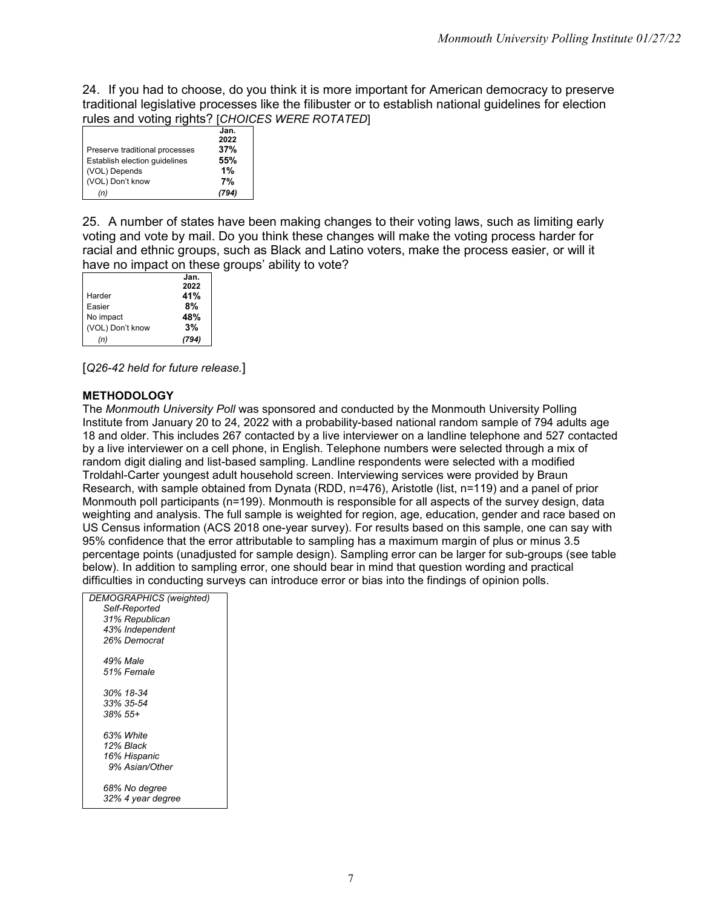24. If you had to choose, do you think it is more important for American democracy to preserve traditional legislative processes like the filibuster or to establish national guidelines for election rules and voting rights? [*CHOICES WERE ROTATED*]

|                                | Jan.<br>2022 |
|--------------------------------|--------------|
| Preserve traditional processes | 37%          |
| Establish election quidelines  | 55%          |
| (VOL) Depends                  | 1%           |
| (VOL) Don't know               | 7%           |
| (n)                            |              |

25. A number of states have been making changes to their voting laws, such as limiting early voting and vote by mail. Do you think these changes will make the voting process harder for racial and ethnic groups, such as Black and Latino voters, make the process easier, or will it have no impact on these groups' ability to vote?

|                  | Jan. |
|------------------|------|
|                  | 2022 |
| Harder           | 41%  |
| Easier           | 8%   |
| No impact        | 48%  |
| (VOL) Don't know | 3%   |
| (n)              | 94)  |

[*Q26-42 held for future release.*]

#### **METHODOLOGY**

The *Monmouth University Poll* was sponsored and conducted by the Monmouth University Polling Institute from January 20 to 24, 2022 with a probability-based national random sample of 794 adults age 18 and older. This includes 267 contacted by a live interviewer on a landline telephone and 527 contacted by a live interviewer on a cell phone, in English. Telephone numbers were selected through a mix of random digit dialing and list-based sampling. Landline respondents were selected with a modified Troldahl-Carter youngest adult household screen. Interviewing services were provided by Braun Research, with sample obtained from Dynata (RDD, n=476), Aristotle (list, n=119) and a panel of prior Monmouth poll participants (n=199). Monmouth is responsible for all aspects of the survey design, data weighting and analysis. The full sample is weighted for region, age, education, gender and race based on US Census information (ACS 2018 one-year survey). For results based on this sample, one can say with 95% confidence that the error attributable to sampling has a maximum margin of plus or minus 3.5 percentage points (unadjusted for sample design). Sampling error can be larger for sub-groups (see table below). In addition to sampling error, one should bear in mind that question wording and practical difficulties in conducting surveys can introduce error or bias into the findings of opinion polls.

| DEMOGRAPHICS (weighted) |
|-------------------------|
| Self-Reported           |
| 31% Republican          |
| 43% Independent         |
| 26% Democrat            |
| 49% Male                |
| 51% Female              |
| 30% 18-34               |
| 33% 35-54               |
| $.38\%$ 55+             |
| 63% White               |
| 12% Black               |
| 16% Hispanic            |
| 9% Asian/Other          |
| 68% No degree           |
| 32% 4 year degree       |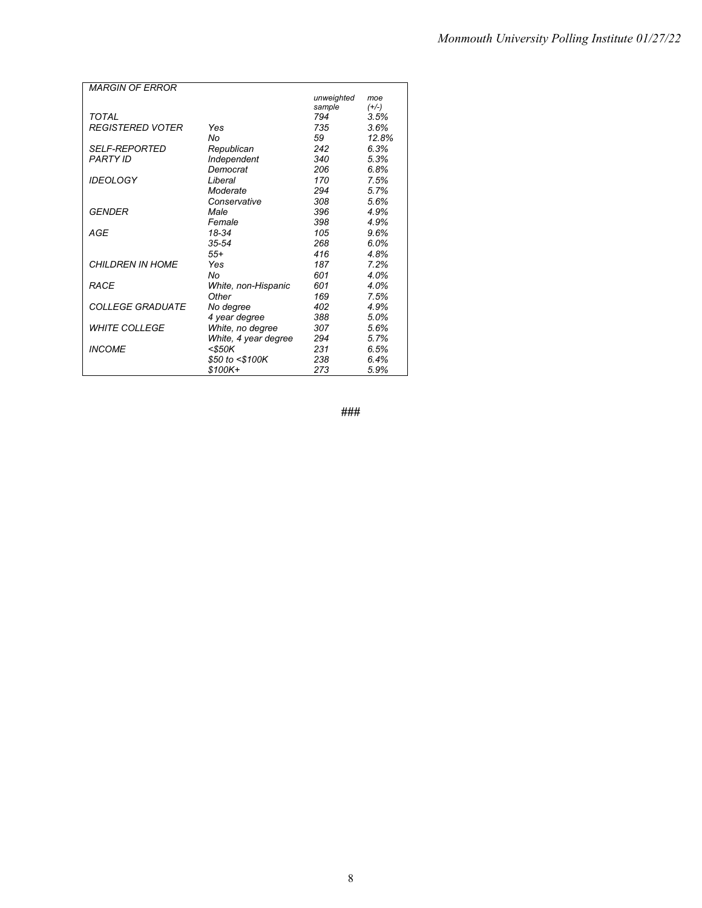| <b>MARGIN OF FRROR</b>  |                      |            |         |
|-------------------------|----------------------|------------|---------|
|                         |                      | unweighted | moe     |
|                         |                      | sample     | $(+/-)$ |
| TOTAL                   |                      | 794        | 3.5%    |
| <b>REGISTERED VOTER</b> | Yes                  | 735        | 3.6%    |
|                         | Nο                   | 59         | 12.8%   |
| <b>SELF-REPORTED</b>    | Republican           | 242        | 6.3%    |
| <b>PARTY ID</b>         | Independent          | 340        | 5.3%    |
|                         | Democrat             | 206        | 6.8%    |
| <b>IDEOLOGY</b>         | Liberal              | 170        | 7.5%    |
|                         | Moderate             | 294        | 5.7%    |
|                         | Conservative         | 308        | 5.6%    |
| GENDER                  | Male                 | 396        | 4.9%    |
|                         | Female               | 398        | 4.9%    |
| AGE                     | 18-34                | 105        | 9.6%    |
|                         | $35 - 54$            | 268        | 6.0%    |
|                         | $55+$                | 416        | 4.8%    |
| CHII DREN IN HOME       | Yes                  | 187        | 7.2%    |
|                         | No                   | 601        | 4.0%    |
| RACF                    | White, non-Hispanic  | 601        | 4.0%    |
|                         | Other                | 169        | 7.5%    |
| <i>COLLEGE GRADUATE</i> | No degree            | 402        | 4.9%    |
|                         | 4 year degree        | 388        | 5.0%    |
| <b>WHITE COLLEGE</b>    | White, no degree     | 307        | 5.6%    |
|                         | White, 4 year degree | 294        | 5.7%    |
| <b>INCOME</b>           | $<$ \$50K            | 231        | 6.5%    |
|                         | \$50 to <\$100K      | 238        | 6.4%    |
|                         | \$100K+              | 273        | 5.9%    |

**###**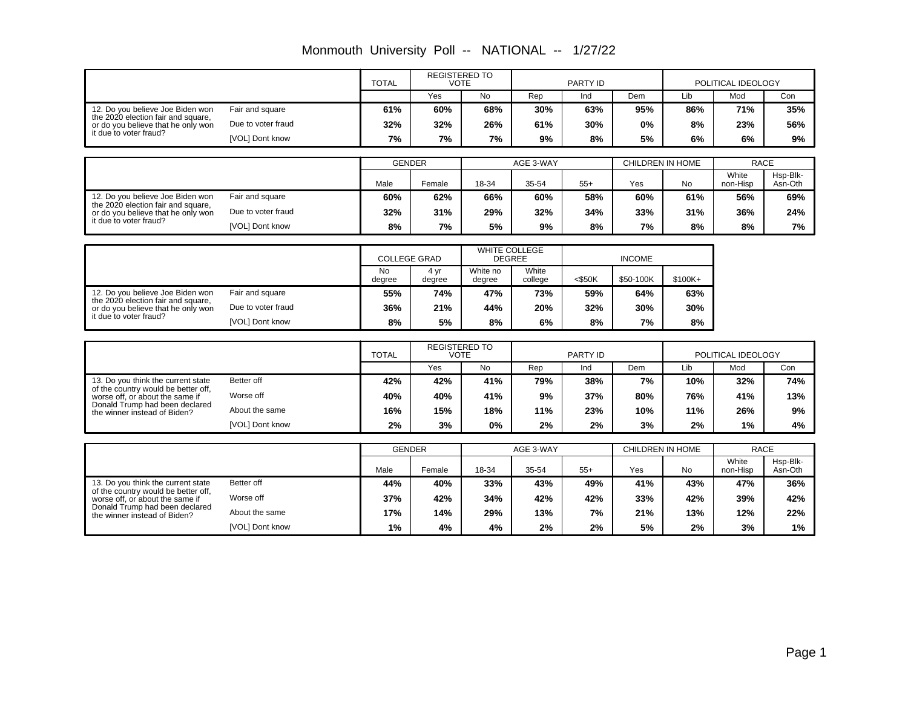|                                                                           |                    | <b>TOTAL</b>        | <b>REGISTERED TO</b><br><b>VOTE</b> |                    |                      | PARTY ID     |                  |           | POLITICAL IDEOLOGY |                |  |  |  |  |  |                  |  |          |
|---------------------------------------------------------------------------|--------------------|---------------------|-------------------------------------|--------------------|----------------------|--------------|------------------|-----------|--------------------|----------------|--|--|--|--|--|------------------|--|----------|
|                                                                           |                    |                     | Yes                                 | No                 | Rep                  | Ind          | Dem              | Lib       | Mod                | Con            |  |  |  |  |  |                  |  |          |
| 12. Do you believe Joe Biden won                                          | Fair and square    | 61%                 | 60%                                 | 68%                | 30%                  | 63%          | 95%              | 86%       | 71%                | 35%            |  |  |  |  |  |                  |  |          |
| the 2020 election fair and square,<br>or do you believe that he only won  | Due to voter fraud | 32%                 | 32%                                 | 26%                | 61%                  | 30%          | 0%               | 8%        | 23%                | 56%            |  |  |  |  |  |                  |  |          |
| it due to voter fraud?                                                    | [VOL] Dont know    | 7%                  | 7%                                  | 7%                 | 9%                   | 8%           | 5%               | 6%        | 6%                 | 9%             |  |  |  |  |  |                  |  |          |
|                                                                           |                    | <b>GENDER</b>       |                                     |                    | AGE 3-WAY            |              | CHILDREN IN HOME |           | <b>RACE</b>        |                |  |  |  |  |  |                  |  |          |
|                                                                           |                    |                     |                                     |                    |                      |              |                  |           | White              | Hsp-Blk-       |  |  |  |  |  |                  |  |          |
| 12. Do vou believe Joe Biden won                                          | Fair and square    | Male<br>60%         | Female<br>62%                       | 18-34<br>66%       | 35-54<br>60%         | $55+$<br>58% | Yes<br>60%       | No<br>61% | non-Hisp<br>56%    | Asn-Oth<br>69% |  |  |  |  |  |                  |  |          |
| the 2020 election fair and square,                                        |                    |                     |                                     |                    |                      |              |                  |           |                    |                |  |  |  |  |  |                  |  |          |
| or do you believe that he only won<br>it due to voter fraud?              | Due to voter fraud | 32%                 | 31%                                 | 29%                | 32%                  | 34%          | 33%              | 31%       | 36%                | 24%            |  |  |  |  |  |                  |  |          |
|                                                                           | [VOL] Dont know    | 8%                  | 7%                                  | 5%                 | 9%                   | 8%           | 7%               | 8%        | 8%                 | 7%             |  |  |  |  |  |                  |  |          |
|                                                                           |                    | <b>COLLEGE GRAD</b> |                                     | <b>DEGREE</b>      | <b>WHITE COLLEGE</b> |              | <b>INCOME</b>    |           |                    |                |  |  |  |  |  |                  |  |          |
|                                                                           |                    | <b>No</b><br>degree | 4 yr<br>degree                      | White no<br>degree | White<br>college     | $<$ \$50K    | \$50-100K        | \$100K+   |                    |                |  |  |  |  |  |                  |  |          |
| 12. Do you believe Joe Biden won                                          | Fair and square    | 55%                 | 74%                                 | 47%                | 73%                  | 59%          | 64%              | 63%       |                    |                |  |  |  |  |  |                  |  |          |
| the 2020 election fair and square,<br>or do you believe that he only won  | Due to voter fraud | 36%                 | 21%                                 | 44%                | 20%                  | 32%          | 30%              | 30%       |                    |                |  |  |  |  |  |                  |  |          |
| it due to voter fraud?                                                    | [VOL] Dont know    | 8%                  | 5%                                  | 8%                 | 6%                   | 8%           | 7%               | 8%        |                    |                |  |  |  |  |  |                  |  |          |
|                                                                           |                    |                     |                                     |                    |                      |              |                  |           |                    |                |  |  |  |  |  |                  |  |          |
|                                                                           |                    | <b>TOTAL</b>        | <b>REGISTERED TO</b><br><b>VOTE</b> |                    |                      | PARTY ID     |                  |           | POLITICAL IDEOLOGY |                |  |  |  |  |  |                  |  |          |
|                                                                           |                    |                     | Yes                                 | <b>No</b>          | Rep                  | Ind          | Dem              | Lib       | Mod                | Con            |  |  |  |  |  |                  |  |          |
| 13. Do you think the current state<br>of the country would be better off, | Better off         | 42%                 | 42%                                 | 41%                | 79%                  | 38%          | 7%               | 10%       | 32%                | 74%            |  |  |  |  |  |                  |  |          |
| worse off, or about the same if                                           | Worse off          | 40%                 | 40%                                 | 41%                | 9%                   | 37%          | 80%              | 76%       | 41%                | 13%            |  |  |  |  |  |                  |  |          |
| Donald Trump had been declared<br>the winner instead of Biden?            | About the same     | 16%                 | 15%                                 | 18%                | 11%                  | 23%          | 10%              | 11%       | 26%                | 9%             |  |  |  |  |  |                  |  |          |
|                                                                           | [VOL] Dont know    | 2%                  | 3%                                  | 0%                 | 2%                   | 2%           | 3%               | 2%        | 1%                 | 4%             |  |  |  |  |  |                  |  |          |
|                                                                           |                    | <b>GENDER</b>       |                                     |                    | AGE 3-WAY            |              |                  |           | <b>RACE</b>        |                |  |  |  |  |  |                  |  |          |
|                                                                           |                    |                     |                                     |                    |                      |              |                  |           |                    |                |  |  |  |  |  | CHILDREN IN HOME |  | Hsp-Blk- |
|                                                                           |                    | Male                | Female                              | 18-34              | 35-54                | $55+$        | Yes              | <b>No</b> | White<br>non-Hisp  | Asn-Oth        |  |  |  |  |  |                  |  |          |
| 13. Do you think the current state<br>of the country would be better off. | Better off         | 44%                 | 40%                                 | 33%                | 43%                  | 49%          | 41%              | 43%       | 47%                | 36%            |  |  |  |  |  |                  |  |          |
| worse off, or about the same if<br>Donald Trump had been declared         | Worse off          | 37%                 | 42%                                 | 34%                | 42%                  | 42%          | 33%              | 42%       | 39%                | 42%            |  |  |  |  |  |                  |  |          |
| the winner instead of Biden?                                              | About the same     | 17%                 | 14%                                 | 29%                | 13%                  | 7%           | 21%              | 13%       | 12%                | 22%            |  |  |  |  |  |                  |  |          |
|                                                                           | [VOL] Dont know    | 1%                  | 4%                                  | 4%                 | 2%                   | 2%           | 5%               | 2%        | 3%                 | $1\%$          |  |  |  |  |  |                  |  |          |

Monmouth University Poll -- NATIONAL -- 1/27/22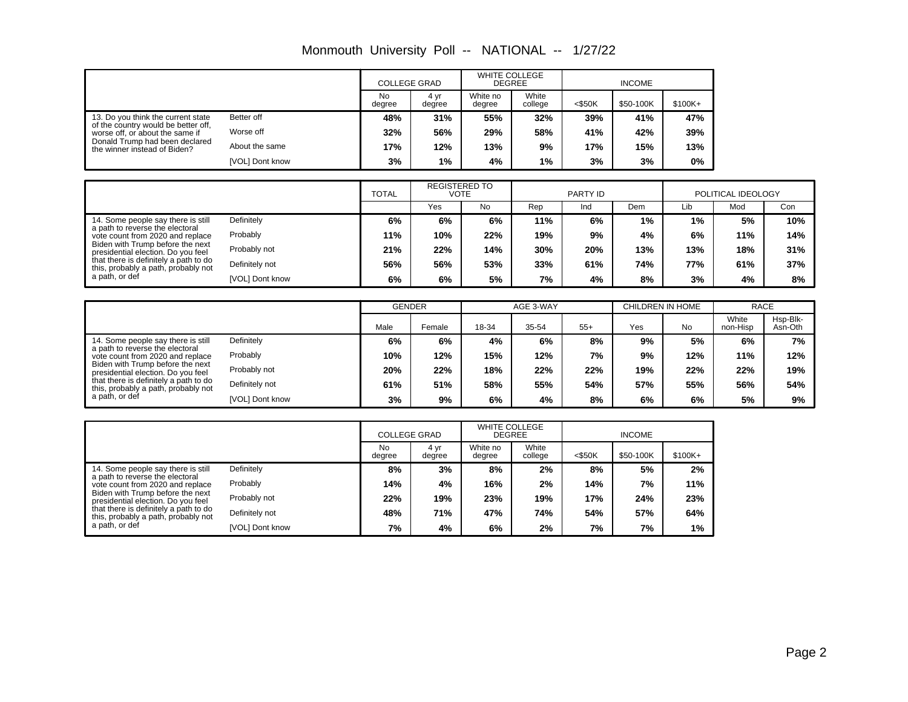| Monmouth University Poll -- NATIONAL -- |  |  | 1/27/22 |
|-----------------------------------------|--|--|---------|
|-----------------------------------------|--|--|---------|

|                                                                        |                 | <b>COLLEGE GRAD</b> |                | <b>WHITE COLLEGE</b><br><b>DEGREE</b> |                  | <b>INCOME</b> |           |          |  |
|------------------------------------------------------------------------|-----------------|---------------------|----------------|---------------------------------------|------------------|---------------|-----------|----------|--|
|                                                                        |                 | No<br>degree        | 4 vr<br>degree | White no<br>degree                    | White<br>college | $<$ \$50K     | \$50-100K | $$100K+$ |  |
| 13. Do you think the current state                                     | Better off      | 48%                 | 31%            | 55%                                   | 32%              | 39%           | 41%       | 47%      |  |
| of the country would be better off,<br>worse off, or about the same if | Worse off       | 32%                 | 56%            | 29%                                   | 58%              | 41%           | 42%       | 39%      |  |
| Donald Trump had been declared<br>the winner instead of Biden?         | About the same  | 17%                 | 12%            | 13%                                   | 9%               | 17%           | 15%       | 13%      |  |
|                                                                        | [VOL] Dont know | 3%                  | $1\%$          | 4%                                    | $1\%$            | 3%            | 3%        | 0%       |  |

|                                                                              |                 | <b>TOTAL</b> | <b>REGISTERED TO</b><br>VOTE |           |     | PARTY ID |     |     | POLITICAL IDEOLOGY |     |
|------------------------------------------------------------------------------|-----------------|--------------|------------------------------|-----------|-----|----------|-----|-----|--------------------|-----|
|                                                                              |                 |              | Yes                          | <b>No</b> | Rep | Ind      | Dem | Lib | Mod                | Con |
| 14. Some people say there is still                                           | Definitely      | 6%           | 6%                           | 6%        | 11% | 6%       | 1%  | 1%  | 5%                 | 10% |
| a path to reverse the electoral<br>vote count from 2020 and replace          | Probably        | 11%          | 10%                          | 22%       | 19% | 9%       | 4%  | 6%  | 11%                | 14% |
| Biden with Trump before the next<br>presidential election. Do you feel       | Probably not    | 21%          | 22%                          | 14%       | 30% | 20%      | 13% | 13% | 18%                | 31% |
| that there is definitely a path to do<br>this, probably a path, probably not | Definitely not  | 56%          | 56%                          | 53%       | 33% | 61%      | 74% | 77% | 61%                | 37% |
| a path, or def                                                               | [VOL] Dont know | 6%           | 6%                           | 5%        | 7%  | 4%       | 8%  | 3%  | 4%                 | 8%  |

|                                                                              |                 | <b>GENDER</b> |        | AGE 3-WAY |       |       | CHILDREN IN HOME |     | <b>RACE</b>       |                     |
|------------------------------------------------------------------------------|-----------------|---------------|--------|-----------|-------|-------|------------------|-----|-------------------|---------------------|
|                                                                              |                 | Male          | Female | 18-34     | 35-54 | $55+$ | Yes              | No  | White<br>non-Hisp | Hsp-Blk-<br>Asn-Oth |
| 14. Some people say there is still                                           | Definitely      | 6%            | 6%     | 4%        | 6%    | 8%    | 9%               | 5%  | 6%                | 7%                  |
| a path to reverse the electoral<br>vote count from 2020 and replace          | Probably        | 10%           | 12%    | 15%       | 12%   | 7%    | 9%               | 12% | 11%               | 12%                 |
| Biden with Trump before the next<br>presidential election. Do you feel       | Probably not    | 20%           | 22%    | 18%       | 22%   | 22%   | 19%              | 22% | 22%               | 19%                 |
| that there is definitely a path to do<br>this, probably a path, probably not | Definitely not  | 61%           | 51%    | 58%       | 55%   | 54%   | 57%              | 55% | 56%               | 54%                 |
| a path, or def                                                               | [VOL] Dont know | 3%            | 9%     | 6%        | 4%    | 8%    | 6%               | 6%  | 5%                | 9%                  |

|                                                                                                                                                        |                 | <b>COLLEGE GRAD</b> |                | <b>WHITE COLLEGE</b><br><b>DEGREE</b> |                  | <b>INCOME</b> |           |         |  |
|--------------------------------------------------------------------------------------------------------------------------------------------------------|-----------------|---------------------|----------------|---------------------------------------|------------------|---------------|-----------|---------|--|
|                                                                                                                                                        |                 | No<br>degree        | 4 vr<br>degree | White no<br>degree                    | White<br>college | $<$ \$50K     | \$50-100K | \$100K+ |  |
| 14. Some people say there is still                                                                                                                     | Definitely      | 8%                  | 3%             | 8%                                    | 2%               | 8%            | 5%        | 2%      |  |
| a path to reverse the electoral<br>vote count from 2020 and replace                                                                                    | Probably        | 14%                 | 4%             | 16%                                   | 2%               | 14%           | 7%        | 11%     |  |
| Biden with Trump before the next<br>presidential election. Do you feel<br>that there is definitely a path to do<br>this, probably a path, probably not | Probably not    | 22%                 | 19%            | 23%                                   | 19%              | 17%           | 24%       | 23%     |  |
|                                                                                                                                                        | Definitely not  | 48%                 | 71%            | 47%                                   | 74%              | 54%           | 57%       | 64%     |  |
| a path, or def                                                                                                                                         | [VOL] Dont know | 7%                  | 4%             | 6%                                    | 2%               | 7%            | 7%        | 1%      |  |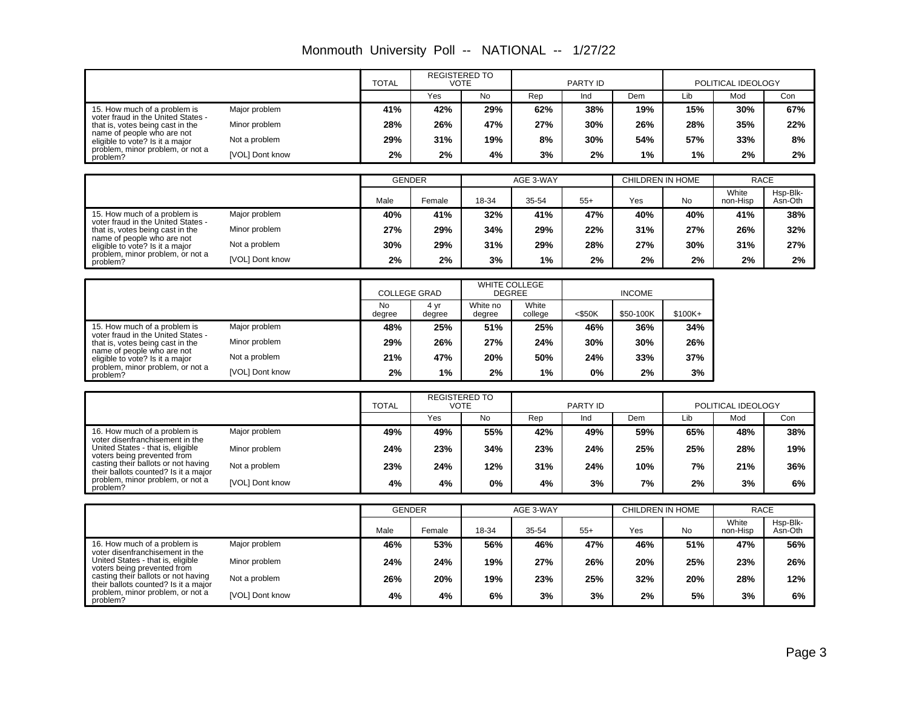|                                                                                                                                         |                 | <b>TOTAL</b><br><b>VOTE</b> |               | <b>REGISTERED TO</b>                  |                  | PARTY ID      |                  | POLITICAL IDEOLOGY |                   |                     |
|-----------------------------------------------------------------------------------------------------------------------------------------|-----------------|-----------------------------|---------------|---------------------------------------|------------------|---------------|------------------|--------------------|-------------------|---------------------|
|                                                                                                                                         |                 |                             | Yes           | <b>No</b>                             | Rep              | Ind           | Dem              | Lib                | Mod               | Con                 |
| 15. How much of a problem is<br>voter fraud in the United States -                                                                      | Major problem   | 41%                         | 42%           | 29%                                   | 62%              | 38%           | 19%              | 15%                | 30%               | 67%                 |
| that is, votes being cast in the                                                                                                        | Minor problem   | 28%                         | 26%           | 47%                                   | 27%              | 30%           | 26%              | 28%                | 35%               | 22%                 |
| name of people who are not<br>eligible to vote? Is it a major<br>problem, minor problem, or not a<br>problem?                           | Not a problem   | 29%                         | 31%           | 19%                                   | 8%               | 30%           | 54%              | 57%                | 33%               | 8%                  |
|                                                                                                                                         | [VOL] Dont know | 2%                          | 2%            | 4%                                    | 3%               | 2%            | 1%               | 1%                 | 2%                | $2\%$               |
|                                                                                                                                         |                 |                             |               |                                       |                  |               |                  |                    |                   |                     |
|                                                                                                                                         |                 | <b>GENDER</b>               |               |                                       | AGE 3-WAY        |               | CHILDREN IN HOME |                    | <b>RACE</b>       |                     |
|                                                                                                                                         |                 | Male                        | Female        | 18-34                                 | 35-54            | $55+$         | Yes              | <b>No</b>          | White<br>non-Hisp | Hsp-Blk-<br>Asn-Oth |
| 15. How much of a problem is<br>voter fraud in the United States -                                                                      | Major problem   | 40%                         | 41%           | 32%                                   | 41%              | 47%           | 40%              | 40%                | 41%               | 38%                 |
| that is, votes being cast in the                                                                                                        | Minor problem   | 27%                         | 29%           | 34%                                   | 29%              | 22%           | 31%              | 27%                | 26%               | 32%                 |
| name of people who are not<br>eligible to vote? Is it a major                                                                           | Not a problem   | 30%                         | 29%           | 31%                                   | 29%              | 28%           | 27%              | 30%                | 31%               | 27%                 |
| problem, minor problem, or not a<br>problem?                                                                                            | [VOL] Dont know | 2%                          | 2%            | 3%                                    | 1%               | 2%            | 2%               | 2%                 | 2%                | 2%                  |
|                                                                                                                                         |                 |                             |               |                                       |                  |               |                  |                    |                   |                     |
|                                                                                                                                         |                 | <b>COLLEGE GRAD</b>         |               | <b>WHITE COLLEGE</b><br><b>DEGREE</b> |                  | <b>INCOME</b> |                  |                    |                   |                     |
|                                                                                                                                         |                 | No.<br>degree               | 4yr<br>degree | White no<br>degree                    | White<br>college | $<$ \$50K     | \$50-100K        | $$100K+$           |                   |                     |
| 15. How much of a problem is                                                                                                            | Major problem   | 48%                         | 25%           | 51%                                   | 25%              | 46%           | 36%              | 34%                |                   |                     |
| voter fraud in the United States -<br>that is, votes being cast in the<br>name of people who are not<br>eligible to vote? Is it a major | Minor problem   | 29%                         | 26%           | 27%                                   | 24%              | 30%           | 30%              | 26%                |                   |                     |
|                                                                                                                                         | Not a problem   | 21%                         | 47%           | 20%                                   | 50%              | 24%           | 33%              | 37%                |                   |                     |
| problem, minor problem, or not a<br>problem?                                                                                            | [VOL] Dont know | 2%                          | 1%            | 2%                                    | 1%               | 0%            | 2%               | 3%                 |                   |                     |

|  |  |  | Monmouth University Poll -- NATIONAL -- 1/27/22 |  |
|--|--|--|-------------------------------------------------|--|
|--|--|--|-------------------------------------------------|--|

|                                                                             |                 | <b>TOTAL</b> | <b>REGISTERED TO</b><br>PARTY ID<br>VOTE |     | POLITICAL IDEOLOGY |     |     |     |     |     |
|-----------------------------------------------------------------------------|-----------------|--------------|------------------------------------------|-----|--------------------|-----|-----|-----|-----|-----|
|                                                                             |                 |              | Yes                                      | No  | Rep                | Ind | Dem | Lib | Mod | Con |
| 16. How much of a problem is<br>voter disenfranchisement in the             | Major problem   | 49%          | 49%                                      | 55% | 42%                | 49% | 59% | 65% | 48% | 38% |
| United States - that is, eligible<br>voters being prevented from            | Minor problem   | 24%          | 23%                                      | 34% | 23%                | 24% | 25% | 25% | 28% | 19% |
| casting their ballots or not having<br>their ballots counted? Is it a major | Not a problem   | 23%          | 24%                                      | 12% | 31%                | 24% | 10% | 7%  | 21% | 36% |
| problem, minor problem, or not a<br>problem?                                | [VOL] Dont know | 4%           | 4%                                       | 0%  | 4%                 | 3%  | 7%  | 2%  | 3%  | 6%  |

|                                                                                                     |                 | <b>GENDER</b> |        | AGE 3-WAY |       |       | CHILDREN IN HOME |           | <b>RACE</b>       |                     |
|-----------------------------------------------------------------------------------------------------|-----------------|---------------|--------|-----------|-------|-------|------------------|-----------|-------------------|---------------------|
|                                                                                                     |                 | Male          | Female | 18-34     | 35-54 | $55+$ | Yes              | <b>No</b> | White<br>non-Hisp | Hsp-Blk-<br>Asn-Oth |
| 16. How much of a problem is                                                                        | Major problem   | 46%           | 53%    | 56%       | 46%   | 47%   | 46%              | 51%       | 47%               | 56%                 |
| voter disenfranchisement in the<br>United States - that is, eligible<br>voters being prevented from | Minor problem   | 24%           | 24%    | 19%       | 27%   | 26%   | 20%              | 25%       | 23%               | 26%                 |
| casting their ballots or not having<br>their ballots counted? Is it a major                         | Not a problem   | 26%           | 20%    | 19%       | 23%   | 25%   | 32%              | 20%       | 28%               | 12%                 |
| problem, minor problem, or not a<br>problem?                                                        | [VOL] Dont know | 4%            | 4%     | 6%        | 3%    | 3%    | 2%               | 5%        | 3%                | 6%                  |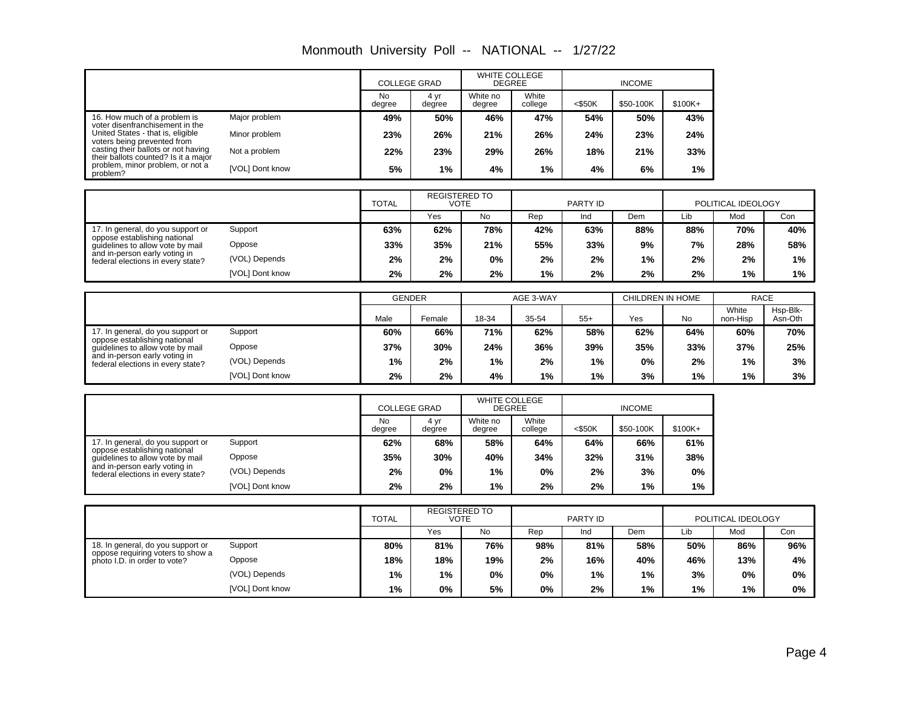|                                                                             |                 |               | <b>COLLEGE GRAD</b> |                      | <b>WHITE COLLEGE</b><br><b>DEGREE</b> |           | <b>INCOME</b>    |           |                    |                     |
|-----------------------------------------------------------------------------|-----------------|---------------|---------------------|----------------------|---------------------------------------|-----------|------------------|-----------|--------------------|---------------------|
|                                                                             |                 | No<br>degree  | 4 yr<br>degree      | White no<br>degree   | White<br>college                      | $<$ \$50K | \$50-100K        | \$100K+   |                    |                     |
| 16. How much of a problem is<br>voter disenfranchisement in the             | Major problem   | 49%           | 50%                 | 46%                  | 47%                                   | 54%       | 50%              | 43%       |                    |                     |
| United States - that is, eligible<br>voters being prevented from            | Minor problem   | 23%           | 26%                 | 21%                  | 26%                                   | 24%       | 23%              | 24%       |                    |                     |
| casting their ballots or not having<br>their ballots counted? Is it a major | Not a problem   | 22%           | 23%                 | 29%                  | 26%                                   | 18%       | 21%              | 33%       |                    |                     |
| problem, minor problem, or not a<br>problem?                                | [VOL] Dont know | 5%            | 1%                  | 4%                   | 1%                                    | 4%        | 6%               | $1\%$     |                    |                     |
|                                                                             |                 |               |                     | <b>REGISTERED TO</b> |                                       |           |                  |           |                    |                     |
|                                                                             |                 | <b>TOTAL</b>  |                     | <b>VOTE</b>          |                                       | PARTY ID  |                  |           | POLITICAL IDEOLOGY |                     |
|                                                                             |                 |               | Yes                 | <b>No</b>            | Rep                                   | Ind       | Dem              | Lib       | Mod                | Con                 |
| 17. In general, do you support or<br>oppose establishing national           | Support         | 63%           | 62%                 | 78%                  | 42%                                   | 63%       | 88%              | 88%       | 70%                | 40%                 |
| quidelines to allow vote by mail                                            | Oppose          | 33%           | 35%                 | 21%                  | 55%                                   | 33%       | 9%               | 7%        | 28%                | 58%                 |
| and in-person early voting in<br>federal elections in every state?          | (VOL) Depends   | 2%            | 2%                  | $0\%$                | 2%                                    | 2%        | 1%               | 2%        | 2%                 | $1\%$               |
|                                                                             | [VOL] Dont know | 2%            | 2%                  | 2%                   | 1%                                    | 2%        | 2%               | 2%        | 1%                 | 1%                  |
|                                                                             |                 |               |                     |                      |                                       |           |                  |           |                    |                     |
|                                                                             |                 | <b>GENDER</b> |                     |                      | AGE 3-WAY                             |           | CHILDREN IN HOME |           | <b>RACE</b>        |                     |
|                                                                             |                 | Male          | Female              | 18-34                | 35-54                                 | $55+$     | Yes              | <b>No</b> | White<br>non-Hisp  | Hsp-Blk-<br>Asn-Oth |
| 17. In general, do you support or<br>oppose establishing national           | Support         | 60%           | 66%                 | 71%                  | 62%                                   | 58%       | 62%              | 64%       | 60%                | 70%                 |
| guidelines to allow vote by mail                                            | Oppose          | 37%           | 30%                 | 24%                  | 36%                                   | 39%       | 35%              | 33%       | 37%                | 25%                 |
| and in-person early voting in<br>federal elections in every state?          | (VOL) Depends   | 1%            | 2%                  | 1%                   | 2%                                    | 1%        | 0%               | 2%        | 1%                 | 3%                  |
|                                                                             | [VOL] Dont know | 2%            | 2%                  | 4%                   | 1%                                    | 1%        | 3%               | 1%        | 1%                 | 3%                  |
|                                                                             |                 |               |                     |                      |                                       |           |                  |           |                    |                     |
|                                                                             |                 |               | COLLEGE GRAD        |                      | <b>WHITE COLLEGE</b><br><b>DECPEE</b> |           | INICONIE         |           |                    |                     |

Monmouth University Poll -- NATIONAL -- 1/27/22

 $\mathbf{I}$ 

|                                                                    |                 | <b>COLLEGE GRAD</b> |                | <b>WHITE COLLEGE</b><br><b>DEGREE</b> |                  |           |           |          |
|--------------------------------------------------------------------|-----------------|---------------------|----------------|---------------------------------------|------------------|-----------|-----------|----------|
|                                                                    |                 | No<br>degree        | 4 vr<br>degree | White no<br>degree                    | White<br>college | $<$ \$50K | \$50-100K | $$100K+$ |
| 17. In general, do you support or                                  | Support         | 62%                 | 68%            | 58%                                   | 64%              | 64%       | 66%       | 61%      |
| oppose establishing national<br>quidelines to allow vote by mail   | Oppose          | 35%                 | 30%            | 40%                                   | 34%              | 32%       | 31%       | 38%      |
| and in-person early voting in<br>federal elections in every state? | (VOL) Depends   | 2%                  | $0\%$          | $1\%$                                 | $0\%$            | 2%        | 3%        | $0\%$    |
|                                                                    | [VOL] Dont know | 2%                  | 2%             | $1\%$                                 | 2%               | 2%        | 1%        | 1%       |

|                                                                   |                 | <b>TOTAL</b> | <b>REGISTERED TO</b><br>VOTE |     | PARTY ID |     |     | POLITICAL IDEOLOGY |     |       |
|-------------------------------------------------------------------|-----------------|--------------|------------------------------|-----|----------|-----|-----|--------------------|-----|-------|
|                                                                   |                 |              | Yes                          | No  | Rep      | Ind | Dem | Lib                | Mod | Con   |
| 18. In general, do you support or                                 | Support         | 80%          | 81%                          | 76% | 98%      | 81% | 58% | 50%                | 86% | 96%   |
| oppose requiring voters to show a<br>photo I.D. in order to vote? | Oppose          | 18%          | 18%                          | 19% | 2%       | 16% | 40% | 46%                | 13% | 4%    |
|                                                                   | (VOL) Depends   | $1\%$        | 1%                           | 0%  | $0\%$    | 1%  | 1%  | 3%                 | 0%  | $0\%$ |
|                                                                   | [VOL] Dont know | $1\%$        | $0\%$                        | 5%  | 0%       | 2%  | 1%  | 1%                 | 1%  | $0\%$ |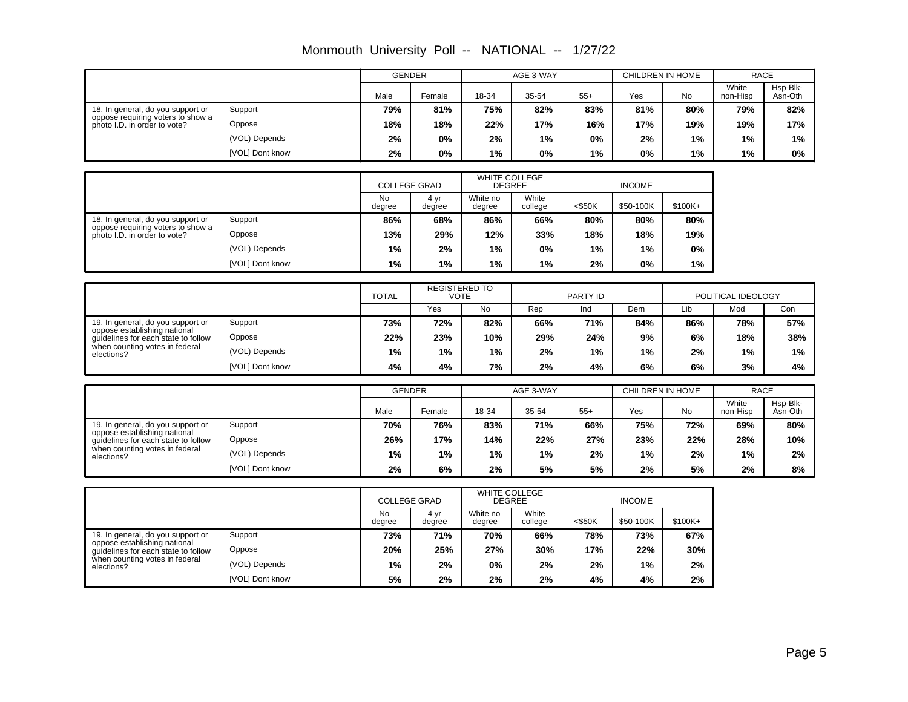|                                                                        |                 |                     | <b>GENDER</b>        |                                       | AGE 3-WAY            |           | CHILDREN IN HOME |                  | <b>RACE</b>        |                     |
|------------------------------------------------------------------------|-----------------|---------------------|----------------------|---------------------------------------|----------------------|-----------|------------------|------------------|--------------------|---------------------|
|                                                                        |                 | Male                | Female               | 18-34                                 | 35-54                | $55+$     | Yes              | <b>No</b>        | White<br>non-Hisp  | Hsp-Blk-<br>Asn-Oth |
| 18. In general, do you support or<br>oppose requiring voters to show a | Support         | 79%                 | 81%                  | 75%                                   | 82%                  | 83%       | 81%              | 80%              | 79%                | 82%                 |
| photo I.D. in order to vote?                                           | Oppose          | 18%                 | 18%                  | 22%                                   | 17%                  | 16%       | 17%              | 19%              | 19%                | 17%                 |
|                                                                        | (VOL) Depends   | 2%                  | 0%                   | 2%                                    | 1%                   | 0%        | 2%               | 1%               | 1%                 | 1%                  |
|                                                                        | [VOL] Dont know | 2%                  | 0%                   | 1%                                    | 0%                   | 1%        | 0%               | 1%               | 1%                 | 0%                  |
|                                                                        |                 |                     |                      |                                       |                      |           |                  |                  |                    |                     |
|                                                                        |                 |                     | <b>COLLEGE GRAD</b>  | <b>DEGREE</b>                         | <b>WHITE COLLEGE</b> |           | <b>INCOME</b>    |                  |                    |                     |
|                                                                        |                 | <b>No</b><br>degree | 4 yr<br>degree       | White no<br>degree                    | White<br>college     | $<$ \$50K | \$50-100K        | \$100K+          |                    |                     |
| 18. In general, do you support or<br>oppose requiring voters to show a | Support         | 86%                 | 68%                  | 86%                                   | 66%                  | 80%       | 80%              | 80%              |                    |                     |
| photo I.D. in order to vote?                                           | Oppose          | 13%                 | 29%                  | 12%                                   | 33%                  | 18%       | 18%              | 19%              |                    |                     |
|                                                                        | (VOL) Depends   | 1%                  | 2%                   | 1%                                    | 0%                   | 1%        | 1%               | 0%               |                    |                     |
|                                                                        | [VOL] Dont know | 1%                  | 1%                   | 1%                                    | 1%                   | 2%        | 0%               | 1%               |                    |                     |
|                                                                        |                 |                     |                      |                                       |                      |           |                  |                  |                    |                     |
|                                                                        |                 | <b>TOTAL</b>        | <b>REGISTERED TO</b> | <b>VOTE</b>                           |                      | PARTY ID  |                  |                  | POLITICAL IDEOLOGY |                     |
|                                                                        |                 |                     | Yes                  | <b>No</b>                             | Rep                  | Ind       | Dem              | Lib              | Mod                | Con                 |
| 19. In general, do you support or<br>oppose establishing national      | Support         | 73%                 | 72%                  | 82%                                   | 66%                  | 71%       | 84%              | 86%              | 78%                | 57%                 |
| quidelines for each state to follow                                    | Oppose          | 22%                 | 23%                  | 10%                                   | 29%                  | 24%       | 9%               | 6%               | 18%                | 38%                 |
| when counting votes in federal<br>elections?                           | (VOL) Depends   | 1%                  | 1%                   | 1%                                    | 2%                   | 1%        | 1%               | 2%               | 1%                 | $1\%$               |
|                                                                        | [VOL] Dont know | 4%                  | 4%                   | 7%                                    | 2%                   | 4%        | 6%               | 6%               | 3%                 | 4%                  |
|                                                                        |                 |                     | <b>GENDER</b>        |                                       | AGE 3-WAY            |           |                  | CHILDREN IN HOME |                    | <b>RACE</b>         |
|                                                                        |                 |                     |                      |                                       |                      |           |                  |                  | White              | Hsp-Blk-            |
|                                                                        |                 | Male                | Female               | 18-34                                 | 35-54                | $55+$     | Yes              | No               | non-Hisp           | Asn-Oth             |
| 19. In general, do you support or<br>oppose establishing national      | Support         | 70%                 | 76%                  | 83%                                   | 71%                  | 66%       | 75%              | 72%              | 69%                | 80%                 |
| guidelines for each state to follow                                    | Oppose          | 26%                 | 17%                  | 14%                                   | 22%                  | 27%       | 23%              | 22%              | 28%                | 10%                 |
| when counting votes in federal<br>elections?                           | (VOL) Depends   | 1%                  | 1%                   | 1%                                    | 1%                   | 2%        | 1%               | 2%               | 1%                 | 2%                  |
|                                                                        | [VOL] Dont know | 2%                  | 6%                   | 2%                                    | 5%                   | 5%        | 2%               | 5%               | 2%                 | 8%                  |
|                                                                        |                 | COLLEGE GRAD        |                      | <b>WHITE COLLEGE</b><br><b>DECPEE</b> |                      | INICONLE  |                  |                  |                    |                     |

Monmouth University Poll -- NATIONAL -- 1/27/22

|                                                                     |                 | <b>COLLEGE GRAD</b> |                | WHITE COLLEGE<br><b>DEGREE</b> |                  |           |           |          |
|---------------------------------------------------------------------|-----------------|---------------------|----------------|--------------------------------|------------------|-----------|-----------|----------|
|                                                                     |                 | <b>No</b><br>degree | 4 yr<br>degree | White no<br>degree             | White<br>college | $<$ \$50K | \$50-100K | $$100K+$ |
| 19. In general, do you support or                                   | Support         | 73%                 | 71%            | 70%                            | 66%              | 78%       | 73%       | 67%      |
| oppose establishing national<br>quidelines for each state to follow | Oppose          | 20%                 | 25%            | 27%                            | 30%              | 17%       | 22%       | 30%      |
| when counting votes in federal<br>elections?                        | (VOL) Depends   | 1%                  | 2%             | $0\%$                          | 2%               | 2%        | $1\%$     | 2%       |
|                                                                     | [VOL] Dont know | 5%                  | 2%             | 2%                             | 2%               | 4%        | 4%        | 2%       |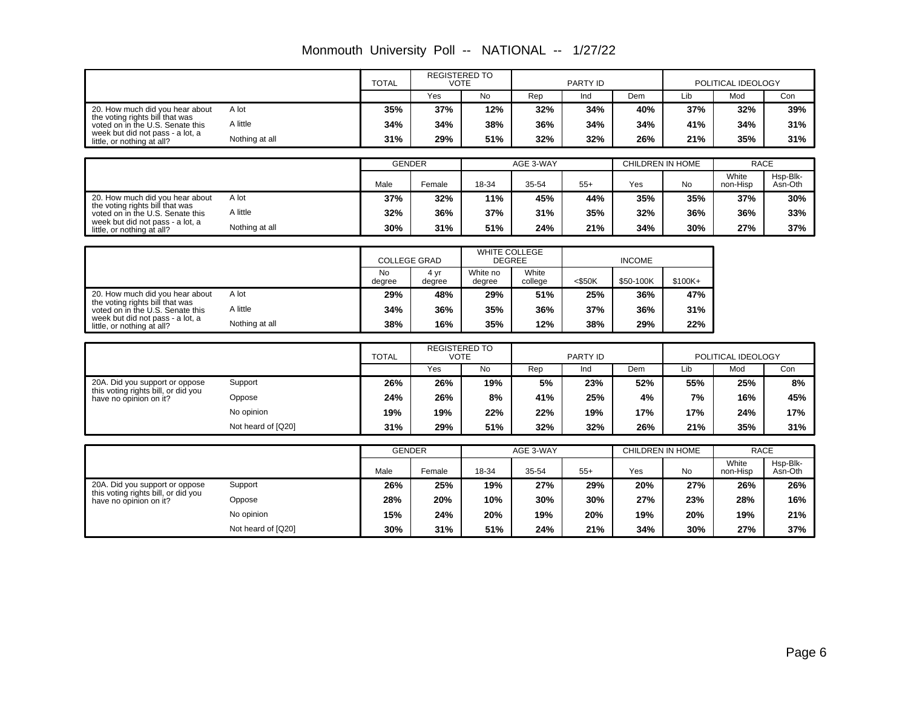|                                                                       |                    | <b>TOTAL</b>        | <b>REGISTERED TO</b><br><b>VOTE</b> |                                       |                  | PARTY ID  |                         |           | POLITICAL IDEOLOGY |                     |
|-----------------------------------------------------------------------|--------------------|---------------------|-------------------------------------|---------------------------------------|------------------|-----------|-------------------------|-----------|--------------------|---------------------|
|                                                                       |                    |                     | Yes                                 | <b>No</b>                             | Rep              | Ind       | Dem                     | Lib       | Mod                | Con                 |
| 20. How much did you hear about                                       | A lot              | 35%                 | 37%                                 | 12%                                   | 32%              | 34%       | 40%                     | 37%       | 32%                | 39%                 |
| the voting rights bill that was<br>voted on in the U.S. Senate this   | A little           | 34%                 | 34%                                 | 38%                                   | 36%              | 34%       | 34%                     | 41%       | 34%                | 31%                 |
| week but did not pass - a lot, a<br>little, or nothing at all?        | Nothing at all     | 31%                 | 29%                                 | 51%                                   | 32%              | 32%       | 26%                     | 21%       | 35%                | 31%                 |
|                                                                       |                    |                     |                                     |                                       |                  |           |                         |           |                    |                     |
|                                                                       |                    | <b>GENDER</b>       |                                     |                                       | AGE 3-WAY        |           | <b>CHILDREN IN HOME</b> |           | <b>RACE</b>        |                     |
|                                                                       |                    | Male                | Female                              | 18-34                                 | 35-54            | $55+$     | Yes                     | No        | White<br>non-Hisp  | Hsp-Blk-<br>Asn-Oth |
| 20. How much did you hear about<br>the voting rights bill that was    | A lot              | 37%                 | 32%                                 | 11%                                   | 45%              | 44%       | 35%                     | 35%       | 37%                | 30%                 |
| voted on in the U.S. Senate this                                      | A little           | 32%                 | 36%                                 | 37%                                   | 31%              | 35%       | 32%                     | 36%       | 36%                | 33%                 |
| week but did not pass - a lot, a<br>little, or nothing at all?        | Nothing at all     | 30%                 | 31%                                 | 51%                                   | 24%              | 21%       | 34%                     | 30%       | 27%                | 37%                 |
|                                                                       |                    |                     |                                     |                                       |                  |           |                         |           |                    |                     |
|                                                                       |                    | <b>COLLEGE GRAD</b> |                                     | <b>WHITE COLLEGE</b><br><b>DEGREE</b> |                  |           | <b>INCOME</b>           |           |                    |                     |
|                                                                       |                    | <b>No</b><br>degree | 4 yr<br>degree                      | White no<br>degree                    | White<br>college | $<$ \$50K | \$50-100K               | $$100K+$  |                    |                     |
| 20. How much did you hear about<br>the voting rights bill that was    | A lot              | 29%                 | 48%                                 | 29%                                   | 51%              | 25%       | 36%                     | 47%       |                    |                     |
| voted on in the U.S. Senate this                                      | A little           | 34%                 | 36%                                 | 35%                                   | 36%              | 37%       | 36%                     | 31%       |                    |                     |
| week but did not pass - a lot, a<br>little, or nothing at all?        | Nothing at all     | 38%                 | 16%                                 | 35%                                   | 12%              | 38%       | 29%                     | 22%       |                    |                     |
|                                                                       |                    |                     |                                     |                                       |                  |           |                         |           |                    |                     |
|                                                                       |                    | <b>TOTAL</b>        | <b>REGISTERED TO</b><br><b>VOTE</b> |                                       |                  | PARTY ID  |                         |           | POLITICAL IDEOLOGY |                     |
|                                                                       |                    |                     | Yes                                 | <b>No</b>                             | Rep              | Ind       | Dem                     | Lib       | Mod                | Con                 |
| 20A. Did you support or oppose<br>this voting rights bill, or did you | Support            | 26%                 | 26%                                 | 19%                                   | 5%               | 23%       | 52%                     | 55%       | 25%                | 8%                  |
| have no opinion on it?                                                | Oppose             | 24%                 | 26%                                 | 8%                                    | 41%              | 25%       | 4%                      | 7%        | 16%                | 45%                 |
|                                                                       | No opinion         | 19%                 | 19%                                 | 22%                                   | 22%              | 19%       | 17%                     | 17%       | 24%                | 17%                 |
|                                                                       | Not heard of [Q20] | 31%                 | 29%                                 | 51%                                   | 32%              | 32%       | 26%                     | 21%       | 35%                | 31%                 |
|                                                                       |                    | <b>GENDER</b>       |                                     |                                       | AGE 3-WAY        |           | CHILDREN IN HOME        |           | <b>RACE</b>        |                     |
|                                                                       |                    |                     |                                     |                                       |                  |           |                         |           | White              | Hsp-Blk-            |
|                                                                       |                    | Male                | Female                              | 18-34                                 | 35-54            | $55+$     | Yes                     | <b>No</b> | non-Hisp           | Asn-Oth             |
| 20A. Did you support or oppose<br>this voting rights bill, or did you | Support            | 26%                 | 25%                                 | 19%                                   | 27%              | 29%       | 20%                     | 27%       | 26%                | 26%                 |
| have no opinion on it?                                                | Oppose             | 28%                 | 20%                                 | 10%                                   | 30%              | 30%       | 27%                     | 23%       | 28%                | 16%                 |
|                                                                       | No opinion         | 15%                 | 24%                                 | 20%                                   | 19%              | 20%       | 19%                     | 20%       | 19%                | 21%                 |
|                                                                       | Not heard of [Q20] | 30%                 | 31%                                 | 51%                                   | 24%              | 21%       | 34%                     | 30%       | 27%                | 37%                 |

Monmouth University Poll -- NATIONAL -- 1/27/22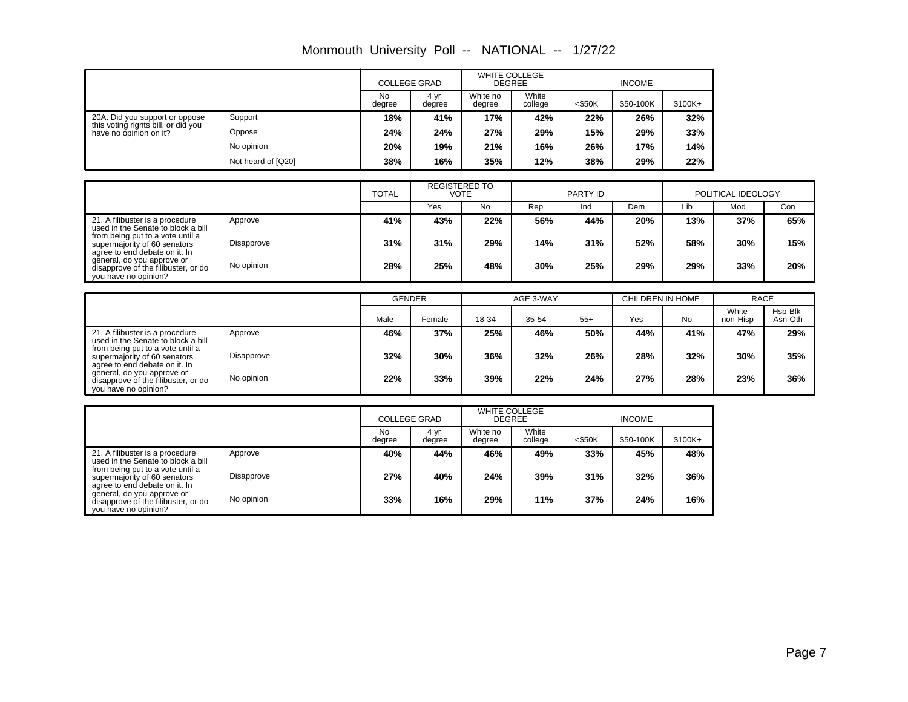| Monmouth University Poll -- NATIONAL -- |  |  | 1/27/22 |
|-----------------------------------------|--|--|---------|
|-----------------------------------------|--|--|---------|

|                                                               |                    | <b>COLLEGE GRAD</b> |                | <b>WHITE COLLEGE</b><br><b>DEGREE</b> |                  | <b>INCOME</b> |           |          |
|---------------------------------------------------------------|--------------------|---------------------|----------------|---------------------------------------|------------------|---------------|-----------|----------|
|                                                               |                    | <b>No</b><br>degree | 4 yr<br>degree | White no<br>degree                    | White<br>college | $<$ \$50K     | \$50-100K | $$100K+$ |
| 20A. Did you support or oppose                                | Support            | 18%                 | 41%            | 17%                                   | 42%              | 22%           | 26%       | 32%      |
| this voting rights bill, or did you<br>have no opinion on it? | Oppose             | 24%                 | 24%            | 27%                                   | 29%              | 15%           | 29%       | 33%      |
|                                                               | No opinion         | 20%                 | 19%            | 21%                                   | 16%              | 26%           | 17%       | 14%      |
|                                                               | Not heard of [Q20] | 38%                 | 16%            | 35%                                   | 12%              | 38%           | 29%       | 22%      |

|                                                                                                   |            | <b>TOTAL</b> | <b>REGISTERED TO</b><br>VOTE |     | PARTY ID |     |     | POLITICAL IDEOLOGY |     |     |
|---------------------------------------------------------------------------------------------------|------------|--------------|------------------------------|-----|----------|-----|-----|--------------------|-----|-----|
|                                                                                                   |            |              | Yes                          | No. | Rep      | Ind | Dem | Lib                | Mod | Con |
| 21. A filibuster is a procedure<br>used in the Senate to block a bill                             | Approve    | 41%          | 43%                          | 22% | 56%      | 44% | 20% | 13%                | 37% | 65% |
| from being put to a vote until a<br>supermajority of 60 senators<br>agree to end debate on it. In | Disapprove | 31%          | 31%                          | 29% | 14%      | 31% | 52% | 58%                | 30% | 15% |
| general, do you approve or<br>disapprove of the filibuster, or do<br>you have no opinion?         | No opinion | 28%          | 25%                          | 48% | 30%      | 25% | 29% | 29%                | 33% | 20% |

|                                                                                                   |            | <b>GENDER</b> |        | AGE 3-WAY |       |       | CHILDREN IN HOME |           | <b>RACE</b>       |                     |
|---------------------------------------------------------------------------------------------------|------------|---------------|--------|-----------|-------|-------|------------------|-----------|-------------------|---------------------|
|                                                                                                   |            | Male          | Female | 18-34     | 35-54 | $55+$ | Yes              | <b>No</b> | White<br>non-Hisp | Hsp-Blk-<br>Asn-Oth |
| 21. A filibuster is a procedure<br>used in the Senate to block a bill                             | Approve    | 46%           | 37%    | 25%       | 46%   | 50%   | 44%              | 41%       | 47%               | 29%                 |
| from being put to a vote until a<br>supermajority of 60 senators<br>agree to end debate on it. In | Disapprove | 32%           | 30%    | 36%       | 32%   | 26%   | 28%              | 32%       | 30%               | 35%                 |
| general, do you approve or<br>disapprove of the filibuster, or do<br>you have no opinion?         | No opinion | 22%           | 33%    | 39%       | 22%   | 24%   | 27%              | 28%       | 23%               | 36%                 |

|                                                                                                   |            | <b>COLLEGE GRAD</b> |                | <b>WHITE COLLEGE</b><br><b>DEGREE</b> |                  | <b>INCOME</b> |           |          |
|---------------------------------------------------------------------------------------------------|------------|---------------------|----------------|---------------------------------------|------------------|---------------|-----------|----------|
|                                                                                                   |            | <b>No</b><br>degree | 4 yr<br>degree | White no<br>degree                    | White<br>college | $<$ \$50K     | \$50-100K | $$100K+$ |
| 21. A filibuster is a procedure<br>used in the Senate to block a bill                             | Approve    | 40%                 | 44%            | 46%                                   | 49%              | 33%           | 45%       | 48%      |
| from being put to a vote until a<br>supermajority of 60 senators<br>agree to end debate on it. In | Disapprove | 27%                 | 40%            | 24%                                   | 39%              | 31%           | 32%       | 36%      |
| general, do you approve or<br>disapprove of the filibuster, or do<br>you have no opinion?         | No opinion | 33%                 | 16%            | 29%                                   | 11%              | 37%           | 24%       | 16%      |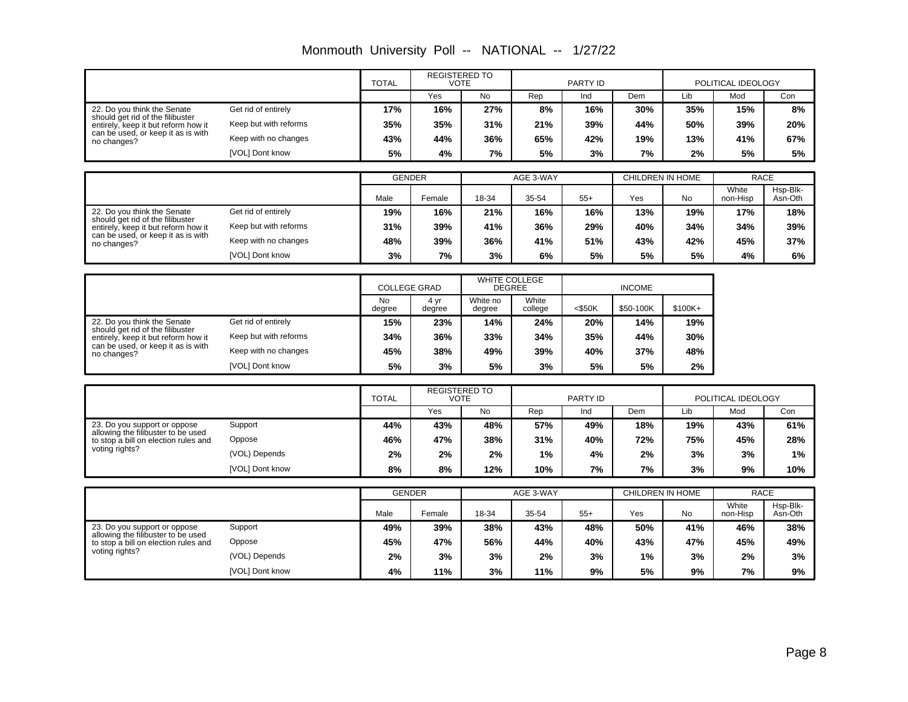|                                                                                                        |                       | <b>TOTAL</b>        | <b>REGISTERED TO</b><br><b>VOTE</b> |                                |                  | PARTY ID        |                         | POLITICAL IDEOLOGY |                    |                     |
|--------------------------------------------------------------------------------------------------------|-----------------------|---------------------|-------------------------------------|--------------------------------|------------------|-----------------|-------------------------|--------------------|--------------------|---------------------|
|                                                                                                        |                       |                     | Yes                                 | <b>No</b>                      | Rep              | Ind             | Dem                     | Lib                | Mod                | Con                 |
| 22. Do you think the Senate                                                                            | Get rid of entirely   | 17%                 | 16%                                 | 27%                            | 8%               | 16%             | 30%                     | 35%                | 15%                | 8%                  |
| should get rid of the filibuster<br>entirely, keep it but reform how it                                | Keep but with reforms | 35%                 | 35%                                 | 31%                            | 21%              | 39%             | 44%                     | 50%                | 39%                | 20%                 |
| can be used, or keep it as is with<br>no changes?                                                      | Keep with no changes  | 43%                 | 44%                                 | 36%                            | 65%              | 42%             | 19%                     | 13%                | 41%                | 67%                 |
|                                                                                                        | [VOL] Dont know       | 5%                  | 4%                                  | 7%                             | 5%               | 3%              | 7%                      | 2%                 | 5%                 | 5%                  |
|                                                                                                        |                       |                     |                                     |                                |                  |                 |                         |                    |                    |                     |
|                                                                                                        |                       | <b>GENDER</b>       |                                     |                                | AGE 3-WAY        |                 | <b>CHILDREN IN HOME</b> |                    | <b>RACE</b>        |                     |
|                                                                                                        |                       | Male                | Female                              | 18-34                          | 35-54            | $55+$           | Yes                     | No                 | White<br>non-Hisp  | Hsp-Blk-<br>Asn-Oth |
| 22. Do you think the Senate                                                                            | Get rid of entirely   | 19%                 | 16%                                 | 21%                            | 16%              | 16%             | 13%                     | 19%                | 17%                | 18%                 |
| should get rid of the filibuster<br>entirely, keep it but reform how it                                | Keep but with reforms | 31%                 | 39%                                 | 41%                            | 36%              | 29%             | 40%                     | 34%                | 34%                | 39%                 |
| can be used, or keep it as is with<br>no changes?                                                      | Keep with no changes  | 48%                 | 39%                                 | 36%                            | 41%              | 51%             | 43%                     | 42%                | 45%                | 37%                 |
|                                                                                                        | [VOL] Dont know       | 3%                  | 7%                                  | 3%                             | 6%               | 5%              | 5%                      | 5%                 | 4%                 | 6%                  |
|                                                                                                        |                       |                     |                                     |                                |                  |                 |                         |                    |                    |                     |
|                                                                                                        |                       | <b>COLLEGE GRAD</b> |                                     | WHITE COLLEGE<br><b>DEGREE</b> |                  |                 | <b>INCOME</b>           |                    |                    |                     |
|                                                                                                        |                       | <b>No</b><br>degree | 4 yr<br>degree                      | White no<br>degree             | White<br>college | <\$50K          | \$50-100K               | \$100K+            |                    |                     |
| 22. Do you think the Senate<br>should get rid of the filibuster<br>entirely, keep it but reform how it | Get rid of entirely   | 15%                 | 23%                                 | 14%                            | 24%              | 20%             | 14%                     | 19%                |                    |                     |
|                                                                                                        | Keep but with reforms | 34%                 | 36%                                 | 33%                            | 34%              | 35%             | 44%                     | 30%                |                    |                     |
| can be used, or keep it as is with<br>no changes?                                                      | Keep with no changes  | 45%                 | 38%                                 | 49%                            | 39%              | 40%             | 37%                     | 48%                |                    |                     |
|                                                                                                        | [VOL] Dont know       | 5%                  | 3%                                  | 5%                             | 3%               | 5%              | 5%                      | 2%                 |                    |                     |
|                                                                                                        |                       |                     |                                     |                                |                  |                 |                         |                    |                    |                     |
|                                                                                                        |                       | <b>TOTAL</b>        | <b>REGISTERED TO</b><br><b>VOTE</b> |                                |                  | <b>PARTY ID</b> |                         |                    | POLITICAL IDEOLOGY |                     |
|                                                                                                        |                       |                     | Yes                                 | <b>No</b>                      | Rep              | Ind             | Dem                     | Lib                | Mod                | Con                 |
| 23. Do you support or oppose<br>allowing the filibuster to be used                                     | Support               | 44%                 | 43%                                 | 48%                            | 57%              | 49%             | 18%                     | 19%                | 43%                | 61%                 |
| to stop a bill on election rules and                                                                   | Oppose                | 46%                 | 47%                                 | 38%                            | 31%              | 40%             | 72%                     | 75%                | 45%                | 28%                 |
| voting rights?                                                                                         | (VOL) Depends         | 2%                  | 2%                                  | 2%                             | 1%               | 4%              | 2%                      | 3%                 | 3%                 | 1%                  |
|                                                                                                        | [VOL] Dont know       | 8%                  | 8%                                  | 12%                            | 10%              | 7%              | 7%                      | 3%                 | 9%                 | 10%                 |
|                                                                                                        |                       | <b>GENDER</b>       |                                     |                                | AGE 3-WAY        |                 | <b>CHILDREN IN HOME</b> |                    | <b>RACE</b>        |                     |
|                                                                                                        |                       |                     |                                     |                                |                  |                 |                         |                    | White              | Hsp-Blk-            |
|                                                                                                        |                       | Male                | Female                              | 18-34                          | 35-54            | $55+$           | Yes                     | <b>No</b>          | non-Hisp           | Asn-Oth             |
| 23. Do you support or oppose<br>allowing the filibuster to be used                                     | Support               | 49%                 | 39%                                 | 38%                            | 43%              | 48%             | 50%                     | 41%                | 46%                | 38%                 |
| to stop a bill on election rules and<br>voting rights?                                                 | Oppose                | 45%                 | 47%                                 | 56%                            | 44%              | 40%             | 43%                     | 47%                | 45%                | 49%                 |
|                                                                                                        | (VOL) Depends         | 2%                  | 3%                                  | 3%                             | 2%               | 3%              | 1%                      | 3%                 | 2%                 | 3%                  |
|                                                                                                        | [VOL] Dont know       | 4%                  | 11%                                 | 3%                             | 11%              | 9%              | 5%                      | 9%                 | 7%                 | 9%                  |

### Monmouth University Poll -- NATIONAL -- 1/27/22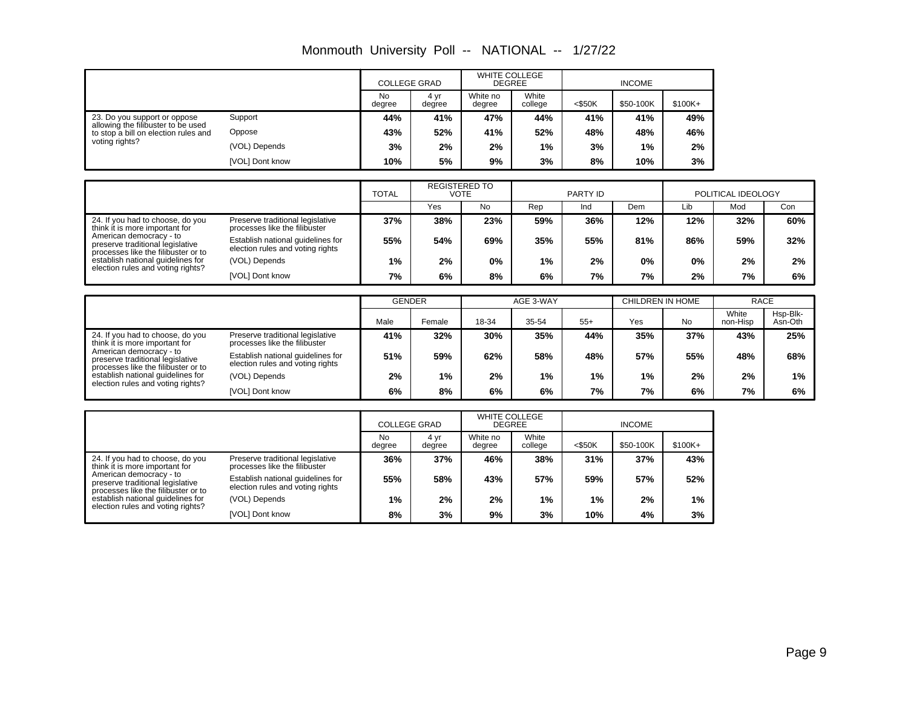| Monmouth University Poll -- NATIONAL -- |  |  | 1/27/22 |
|-----------------------------------------|--|--|---------|
|-----------------------------------------|--|--|---------|

|                                                                            |                 | <b>COLLEGE GRAD</b> |                | <b>WHITE COLLEGE</b><br><b>DEGREE</b> |                  | <b>INCOME</b> |           |          |
|----------------------------------------------------------------------------|-----------------|---------------------|----------------|---------------------------------------|------------------|---------------|-----------|----------|
|                                                                            |                 | No<br>degree        | 4 yr<br>degree | White no<br>degree                    | White<br>college | $<$ \$50K     | \$50-100K | $$100K+$ |
| 23. Do you support or oppose                                               | Support         | 44%                 | 41%            | 47%                                   | 44%              | 41%           | 41%       | 49%      |
| allowing the filibuster to be used<br>to stop a bill on election rules and | Oppose          | 43%                 | 52%            | 41%                                   | 52%              | 48%           | 48%       | 46%      |
| voting rights?                                                             | (VOL) Depends   | 3%                  | 2%             | 2%                                    | 1%               | 3%            | 1%        | 2%       |
|                                                                            | [VOL] Dont know | 10%                 | 5%             | 9%                                    | 3%               | 8%            | 10%       | 3%       |

|                                                                                                                                                                                                                                                    |                                                                       | <b>TOTAL</b> | <b>REGISTERED TO</b><br>VOTE |           | PARTY ID |     |     | POLITICAL IDEOLOGY |     |     |
|----------------------------------------------------------------------------------------------------------------------------------------------------------------------------------------------------------------------------------------------------|-----------------------------------------------------------------------|--------------|------------------------------|-----------|----------|-----|-----|--------------------|-----|-----|
|                                                                                                                                                                                                                                                    |                                                                       |              | Yes                          | <b>No</b> | Rep      | Ind | Dem | Lib                | Mod | Con |
| 24. If you had to choose, do you<br>think it is more important for<br>American democracy - to<br>preserve traditional legislative<br>processes like the filibuster or to<br>establish national guidelines for<br>election rules and voting rights? | Preserve traditional legislative<br>processes like the filibuster     | 37%          | 38%                          | 23%       | 59%      | 36% | 12% | 12%                | 32% | 60% |
|                                                                                                                                                                                                                                                    | Establish national guidelines for<br>election rules and voting rights | 55%          | 54%                          | 69%       | 35%      | 55% | 81% | 86%                | 59% | 32% |
|                                                                                                                                                                                                                                                    | (VOL) Depends                                                         | $1\%$        | 2%                           | 0%        | 1%       | 2%  | 0%  | 0%                 | 2%  | 2%  |
|                                                                                                                                                                                                                                                    | [VOL] Dont know                                                       | 7%           | 6%                           | 8%        | 6%       | 7%  | 7%  | 2%                 | 7%  | 6%  |

|                                                                                                                                                                          |                                                                       | <b>GENDER</b> |        | AGE 3-WAY |       |       | CHILDREN IN HOME |     | <b>RACE</b>       |                     |
|--------------------------------------------------------------------------------------------------------------------------------------------------------------------------|-----------------------------------------------------------------------|---------------|--------|-----------|-------|-------|------------------|-----|-------------------|---------------------|
|                                                                                                                                                                          |                                                                       | Male          | Female | 18-34     | 35-54 | $55+$ | Yes              | No  | White<br>non-Hisp | Hsp-Blk-<br>Asn-Oth |
| 24. If you had to choose, do you<br>think it is more important for<br>American democracy - to<br>preserve traditional legislative<br>processes like the filibuster or to | Preserve traditional legislative<br>processes like the filibuster     | 41%           | 32%    | 30%       | 35%   | 44%   | 35%              | 37% | 43%               | 25%                 |
|                                                                                                                                                                          | Establish national guidelines for<br>election rules and voting rights | 51%           | 59%    | 62%       | 58%   | 48%   | 57%              | 55% | 48%               | 68%                 |
| establish national guidelines for                                                                                                                                        | (VOL) Depends                                                         | 2%            | 1%     | 2%        | 1%    | 1%    | 1%               | 2%  | 2%                | $1\%$               |
| election rules and voting rights?                                                                                                                                        | [VOL] Dont know                                                       | 6%            | 8%     | 6%        | 6%    | 7%    | 7%               | 6%  | 7%                | 6%                  |

|                                                                                                                                                                          |                                                                       |                     | <b>COLLEGE GRAD</b> |                    | <b>WHITE COLLEGE</b><br><b>DEGREE</b> |           |           |          |
|--------------------------------------------------------------------------------------------------------------------------------------------------------------------------|-----------------------------------------------------------------------|---------------------|---------------------|--------------------|---------------------------------------|-----------|-----------|----------|
|                                                                                                                                                                          |                                                                       | <b>No</b><br>degree | 4 vr<br>degree      | White no<br>degree | White<br>college                      | $<$ \$50K | \$50-100K | $$100K+$ |
| 24. If you had to choose, do you<br>think it is more important for<br>American democracy - to<br>preserve traditional legislative<br>processes like the filibuster or to | Preserve traditional legislative<br>processes like the filibuster     | 36%                 | 37%                 | 46%                | 38%                                   | 31%       | 37%       | 43%      |
|                                                                                                                                                                          | Establish national guidelines for<br>election rules and voting rights | 55%                 | 58%                 | 43%                | 57%                                   | 59%       | 57%       | 52%      |
| establish national guidelines for<br>election rules and voting rights?                                                                                                   | (VOL) Depends                                                         | 1%                  | 2%                  | 2%                 | $1\%$                                 | 1%        | 2%        | $1\%$    |
|                                                                                                                                                                          | [VOL] Dont know                                                       | 8%                  | 3%                  | 9%                 | 3%                                    | 10%       | 4%        | 3%       |